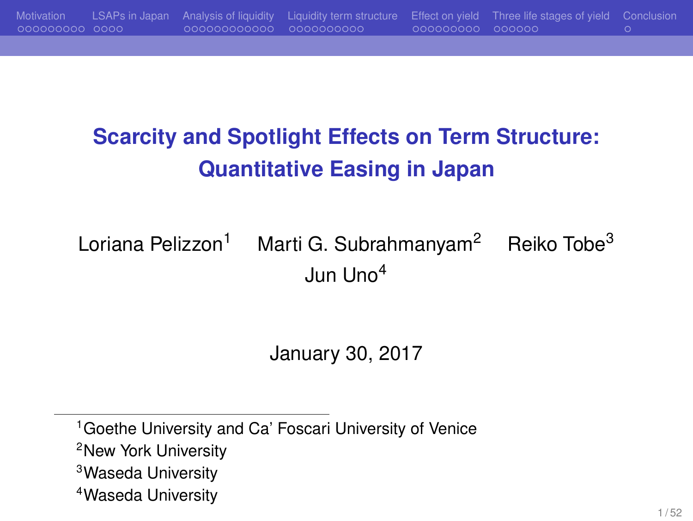## **Scarcity and Spotlight Effects on Term Structure: Quantitative Easing in Japan**

Motivation LSAPs in Japan Analysis of liquidity Liquidity term structure Effect on yield Three life stages of yield Conclusion

Loriana Pelizzon<sup>1</sup> Marti G. Subrahmanyam<sup>2</sup> Reiko Tobe<sup>3</sup> Jun Uno<sup>4</sup>

January 30, 2017

<sup>&</sup>lt;sup>1</sup> Goethe University and Ca' Foscari University of Venice <sup>2</sup>New York University <sup>3</sup>Waseda University <sup>4</sup>Waseda University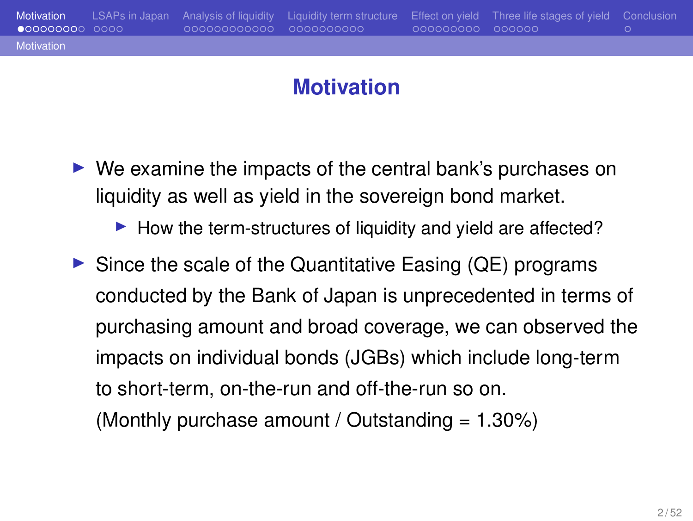#### **Motivation**

Motivation LSAPs in Japan Analysis of liquidity Liquidity term structure Effect on yield Three life stages of yield Conclusion

Motiv

- ▶ We examine the impacts of the central bank's purchases on liquidity as well as yield in the sovereign bond market.
	- ▶ How the term-structures of liquidity and yield are affected?
- $\triangleright$  Since the scale of the Quantitative Easing (QE) programs conducted by the Bank of Japan is unprecedented in terms of purchasing amount and broad coverage, we can observed the impacts on individual bonds (JGBs) which include long-term to short-term, on-the-run and off-the-run so on. (Monthly purchase amount / Outstanding  $= 1.30\%)$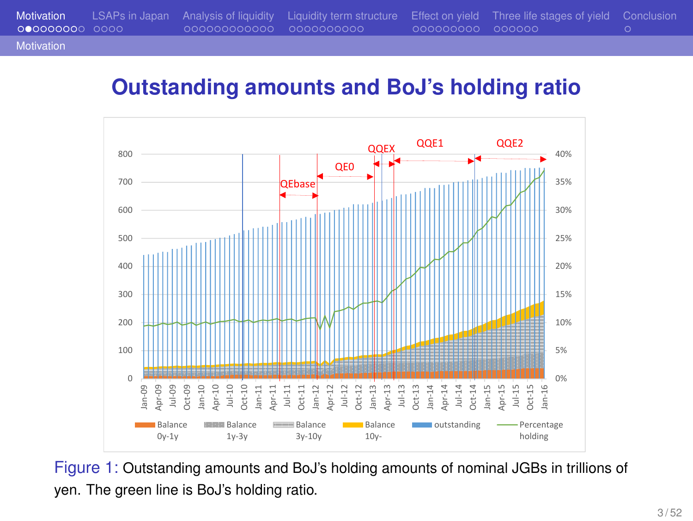#### **Outstanding amounts and BoJ's holding ratio**



Figure 1: Outstanding amounts and BoJ's holding amounts of nominal JGBs in trillions of yen. The green line is BoJ's holding ratio.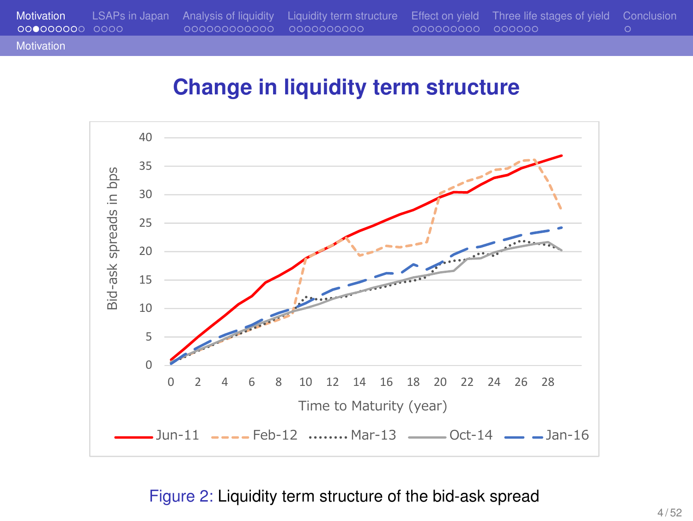

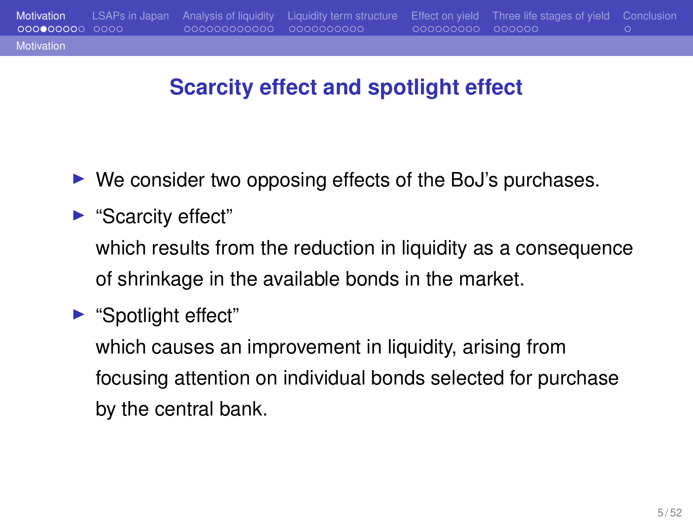## **Motivation**

## **Scarcity effect and spotlight effect**

Motivation LSAPs in Japan Analysis of liquidity Liquidity term structure Effect on yield Three life stages of yield Conclusion

- ▶ We consider two opposing effects of the BoJ's purchases.
- ▶ "Scarcity effect" which results from the reduction in liquidity as a consequence of shrinkage in the available bonds in the market.
- ▶ "Spotlight effect"

which causes an improvement in liquidity, arising from focusing attention on individual bonds selected for purchase by the central bank.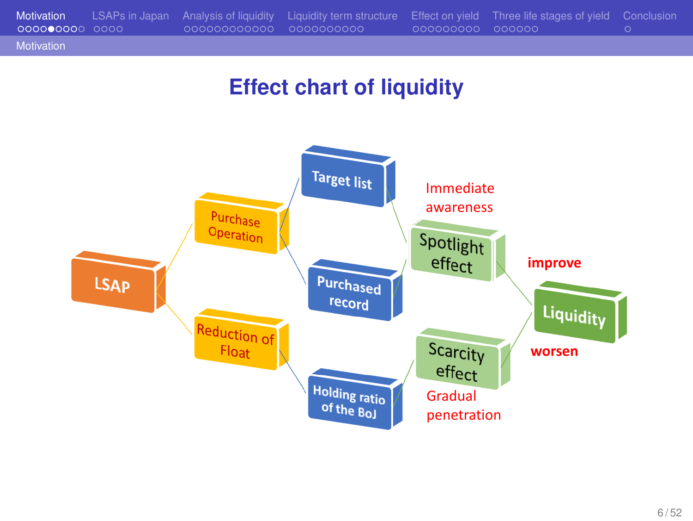

## **Effect chart of liquidity**

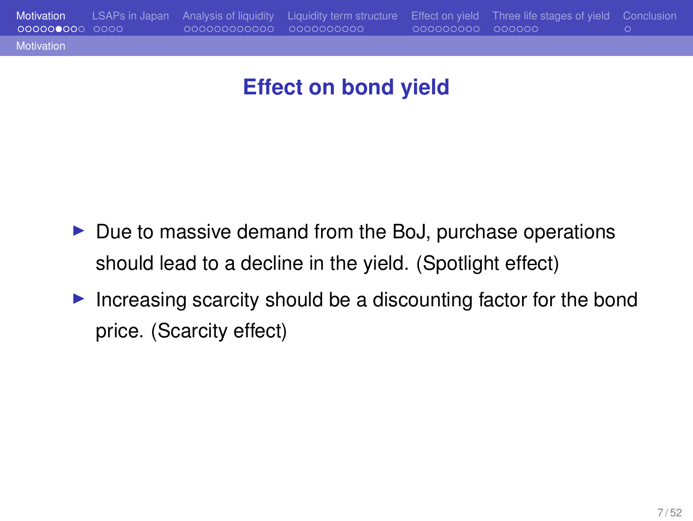## **Effect on bond yield**

- ▶ Due to massive demand from the BoJ, purchase operations should lead to a decline in the yield. (Spotlight effect)
- ▶ Increasing scarcity should be a discounting factor for the bond price. (Scarcity effect)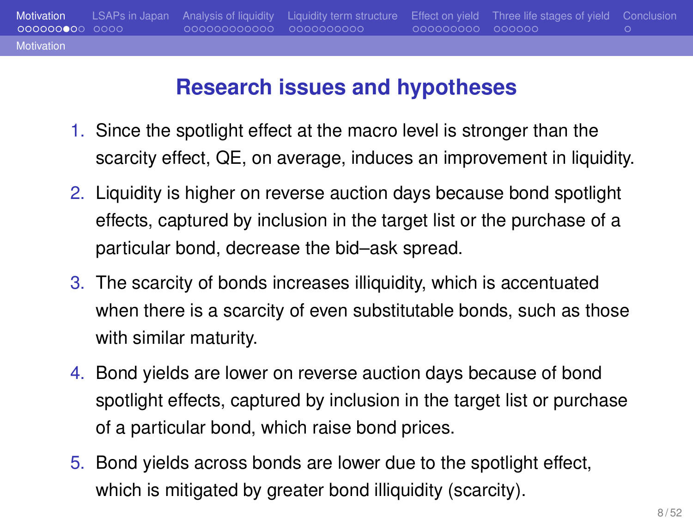## **Research issues and hypotheses**

Motivation LSAPs in Japan Analysis of liquidity Liquidity term structure Effect on yield Three life stages of yield Conclusion cooperation conclusion conclusion conclusion conclusion conclusion conclusion conclusion conclu

Motivatio

- 1. Since the spotlight effect at the macro level is stronger than the scarcity effect, QE, on average, induces an improvement in liquidity.
- 2. Liquidity is higher on reverse auction days because bond spotlight effects, captured by inclusion in the target list or the purchase of a particular bond, decrease the bid–ask spread.
- 3. The scarcity of bonds increases illiquidity, which is accentuated when there is a scarcity of even substitutable bonds, such as those with similar maturity.
- 4. Bond yields are lower on reverse auction days because of bond spotlight effects, captured by inclusion in the target list or purchase of a particular bond, which raise bond prices.
- 5. Bond yields across bonds are lower due to the spotlight effect, which is mitigated by greater bond illiquidity (scarcity).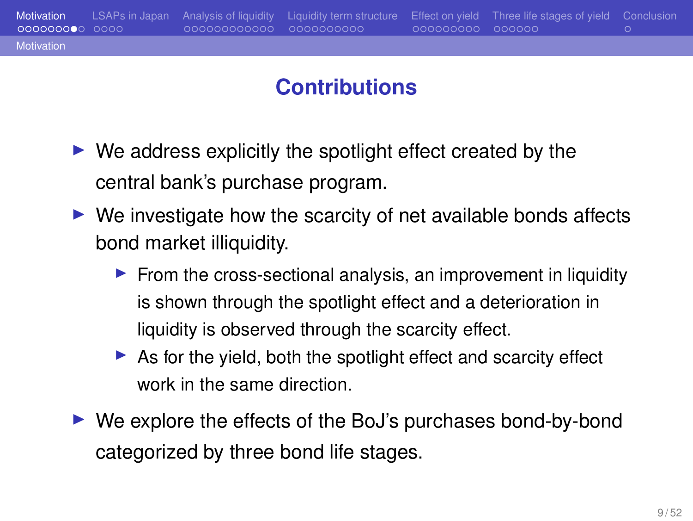# **Contributions**

Motiv

▶ We address explicitly the spotlight effect created by the central bank's purchase program.

Motivation LSAPs in Japan Analysis of liquidity Liquidity term structure Effect on yield Three life stages of yield Conclusion

- $\triangleright$  We investigate how the scarcity of net available bonds affects bond market illiquidity.
	- ▶ From the cross-sectional analysis, an improvement in liquidity is shown through the spotlight effect and a deterioration in liquidity is observed through the scarcity effect.
	- ▶ As for the yield, both the spotlight effect and scarcity effect work in the same direction.
- ▶ We explore the effects of the BoJ's purchases bond-by-bond categorized by three bond life stages.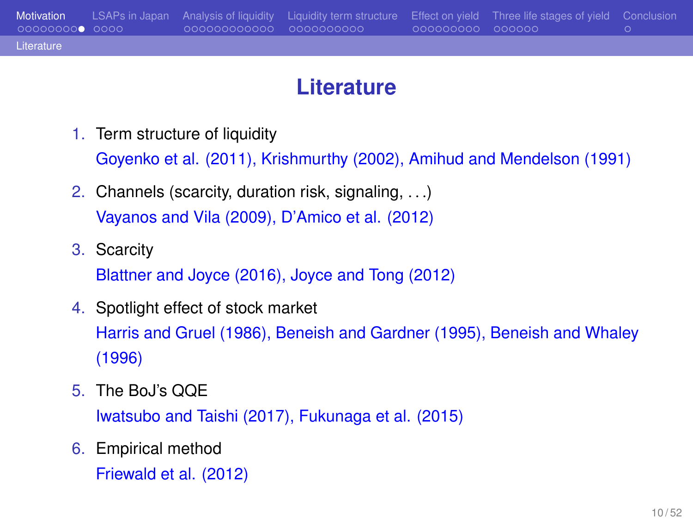#### **Literature**

- 1. Term structure of liquidity Goyenko et al. (2011), Krishmurthy (2002), Amihud and Mendelson (1991)
- 2. Channels (scarcity, duration risk, signaling, . . .) Vayanos and Vila (2009), D'Amico et al. (2012)
- 3. Scarcity Blattner and Joyce (2016), Joyce and Tong (2012)
- 4. Spotlight effect of stock market Harris and Gruel (1986), Beneish and Gardner (1995), Beneish and Whaley (1996)
- 5. The BoJ's QQE Iwatsubo and Taishi (2017), Fukunaga et al. (2015)
- 6. Empirical method Friewald et al. (2012)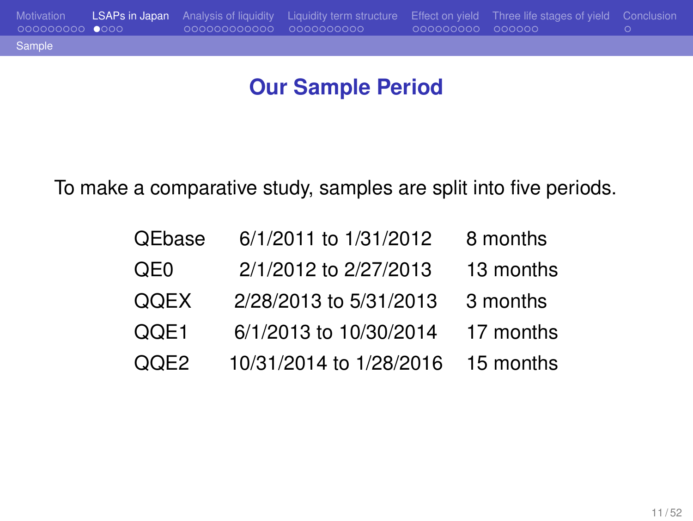## **Our Sample Period**

To make a comparative study, samples are split into five periods.

| QEbase          | 6/1/2011 to 1/31/2012   | 8 months  |
|-----------------|-------------------------|-----------|
| QE <sub>0</sub> | 2/1/2012 to 2/27/2013   | 13 months |
| QQEX            | 2/28/2013 to 5/31/2013  | 3 months  |
| QQE1            | 6/1/2013 to 10/30/2014  | 17 months |
| QOE2            | 10/31/2014 to 1/28/2016 | 15 months |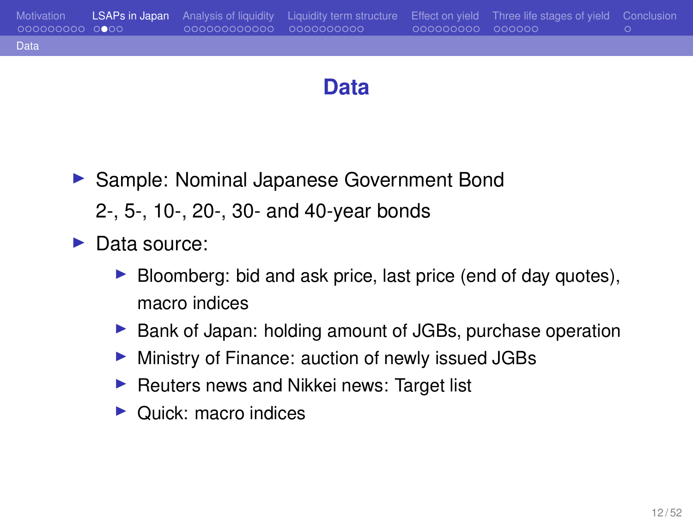**Data**

- ▶ Sample: Nominal Japanese Government Bond 2-, 5-, 10-, 20-, 30- and 40-year bonds
- ▶ Data source:
	- ▶ Bloomberg: bid and ask price, last price (end of day quotes), macro indices
	- ▶ Bank of Japan: holding amount of JGBs, purchase operation
	- ▶ Ministry of Finance: auction of newly issued JGBs
	- ▶ Reuters news and Nikkei news: Target list
	- ▶ Quick: macro indices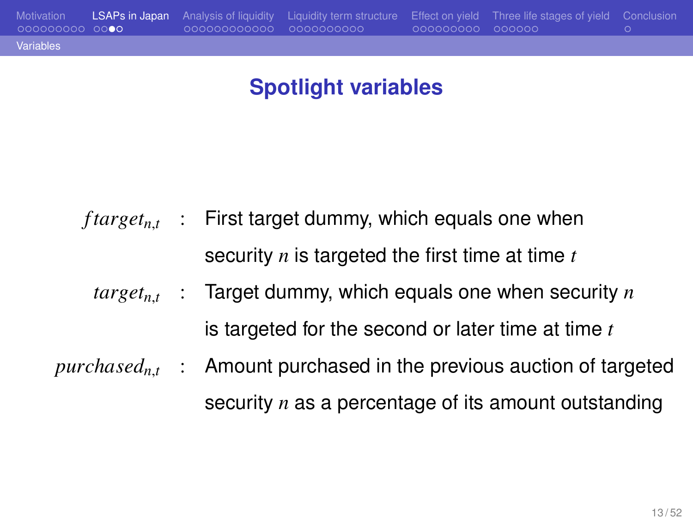## **Spotlight variables**

|  | $ftarget_{n,t}$ : First target dummy, which equals one when               |
|--|---------------------------------------------------------------------------|
|  | security $n$ is targeted the first time at time $t$                       |
|  | $target_{n,t}$ : Target dummy, which equals one when security n           |
|  | is targeted for the second or later time at time $t$                      |
|  | $pure based_{n,t}$ : Amount purchased in the previous auction of targeted |
|  | security $n$ as a percentage of its amount outstanding                    |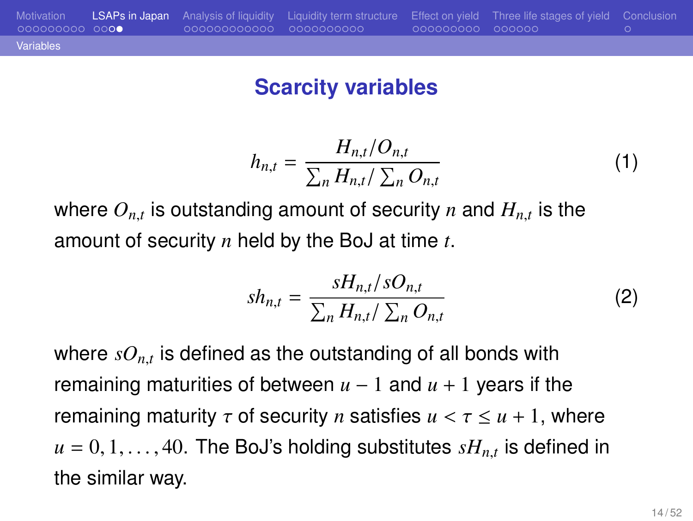#### **Scarcity variables**

Motivation LSAPs in Japan Analysis of liquidity Liquidity term structure Effect on yield Three life stages of yield Conclusion

Variables

$$
h_{n,t} = \frac{H_{n,t}/O_{n,t}}{\sum_{n} H_{n,t}/\sum_{n} O_{n,t}}
$$
 (1)

where  $O_{n,t}$  is outstanding amount of security  $n$  and  $H_{n,t}$  is the amount of security *n* held by the BoJ at time *t*.

$$
sh_{n,t} = \frac{sH_{n,t}/sO_{n,t}}{\sum_{n} H_{n,t}/\sum_{n} O_{n,t}}
$$
 (2)

where  $\mathit{sO}_{n,t}$  is defined as the outstanding of all bonds with remaining maturities of between  $u - 1$  and  $u + 1$  years if the remaining maturity  $\tau$  of security *n* satisfies  $u < \tau \le u + 1$ , where  $u = 0, 1, \ldots, 40$ . The BoJ's holding substitutes  $sH_{n,t}$  is defined in the similar way.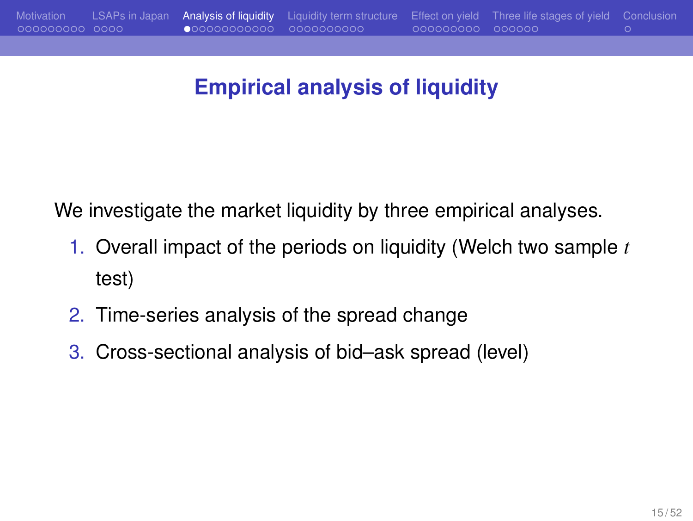## **Empirical analysis of liquidity**

We investigate the market liquidity by three empirical analyses.

- 1. Overall impact of the periods on liquidity (Welch two sample *t* test)
- 2. Time-series analysis of the spread change
- 3. Cross-sectional analysis of bid–ask spread (level)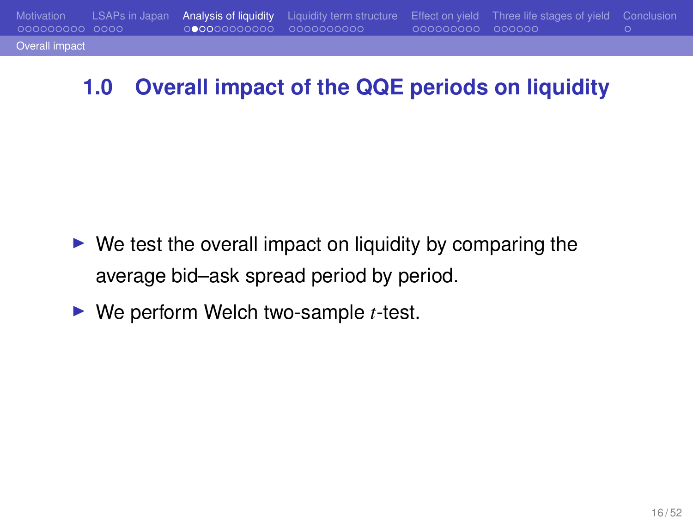## **1.0 Overall impact of the QQE periods on liquidity**

- ▶ We test the overall impact on liquidity by comparing the average bid–ask spread period by period.
- ▶ We perform Welch two-sample *t*-test.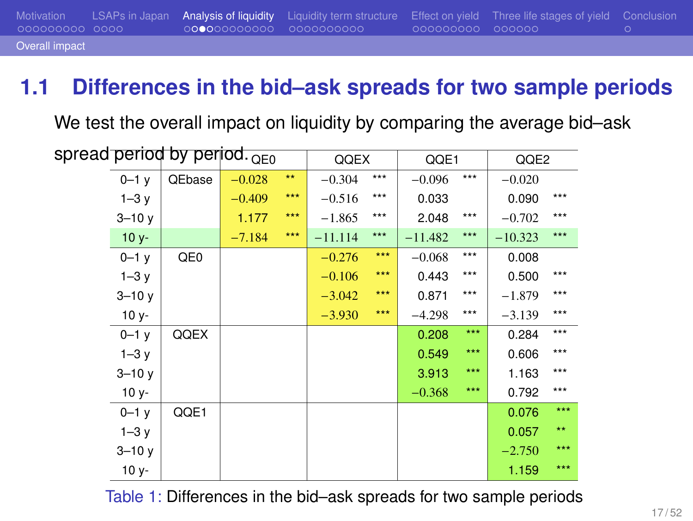## **1.1 Differences in the bid–ask spreads for two sample periods**

We test the overall impact on liquidity by comparing the average bid–ask

|           | spread period by period. <sub>QE0</sub> |          |              | QQEX      |       | QQE1      |       | QQE2      |              |
|-----------|-----------------------------------------|----------|--------------|-----------|-------|-----------|-------|-----------|--------------|
| $0 - 1 y$ | QEbase                                  | $-0.028$ | $\star\star$ | $-0.304$  | $***$ | $-0.096$  | $***$ | $-0.020$  |              |
| $1-3y$    |                                         | $-0.409$ | ***          | $-0.516$  | $***$ | 0.033     |       | 0.090     | $***$        |
| $3 - 10y$ |                                         | 1.177    | $***$        | $-1.865$  | $***$ | 2.048     | $***$ | $-0.702$  | $***$        |
| $10y -$   |                                         | $-7.184$ | $***$        | $-11.114$ | $***$ | $-11.482$ | $***$ | $-10.323$ | $***$        |
| $0 - 1$ y | QE <sub>0</sub>                         |          |              | $-0.276$  | $***$ | $-0.068$  | $***$ | 0.008     |              |
| $1-3y$    |                                         |          |              | $-0.106$  | $***$ | 0.443     | $***$ | 0.500     | $***$        |
| $3 - 10y$ |                                         |          |              | $-3.042$  | $***$ | 0.871     | $***$ | $-1.879$  | $***$        |
| $10 y -$  |                                         |          |              | $-3.930$  | $***$ | $-4.298$  | $***$ | $-3.139$  | $***$        |
| $0 - 1 y$ | QQEX                                    |          |              |           |       | 0.208     | $***$ | 0.284     | $***$        |
| $1-3y$    |                                         |          |              |           |       | 0.549     | $***$ | 0.606     | $***$        |
| $3 - 10y$ |                                         |          |              |           |       | 3.913     | $***$ | 1.163     | $***$        |
| $10 y -$  |                                         |          |              |           |       | $-0.368$  | $***$ | 0.792     | $***$        |
| $0 - 1$ y | QQE1                                    |          |              |           |       |           |       | 0.076     | $***$        |
| $1-3y$    |                                         |          |              |           |       |           |       | 0.057     | $\star\star$ |
| $3 - 10y$ |                                         |          |              |           |       |           |       | $-2.750$  | $***$        |
| $10 y -$  |                                         |          |              |           |       |           |       | 1.159     | $***$        |
|           |                                         |          |              |           |       |           |       |           |              |

Table 1: Differences in the bid–ask spreads for two sample periods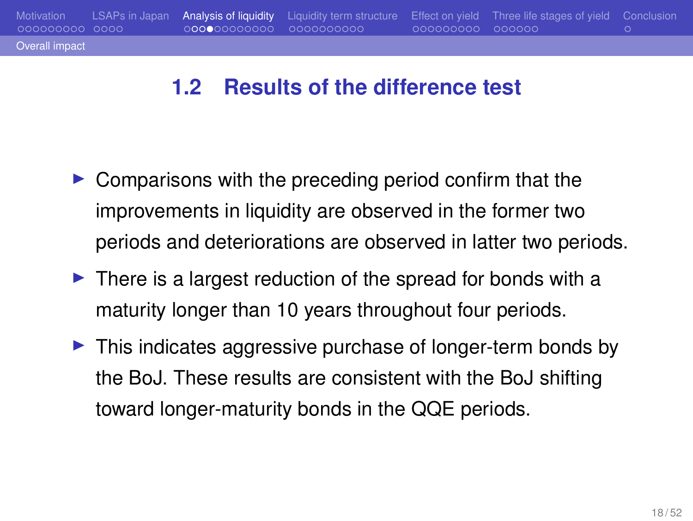#### **1.2 Results of the difference test**

- ▶ Comparisons with the preceding period confirm that the improvements in liquidity are observed in the former two periods and deteriorations are observed in latter two periods.
- ▶ There is a largest reduction of the spread for bonds with a maturity longer than 10 years throughout four periods.
- ▶ This indicates aggressive purchase of longer-term bonds by the BoJ. These results are consistent with the BoJ shifting toward longer-maturity bonds in the QQE periods.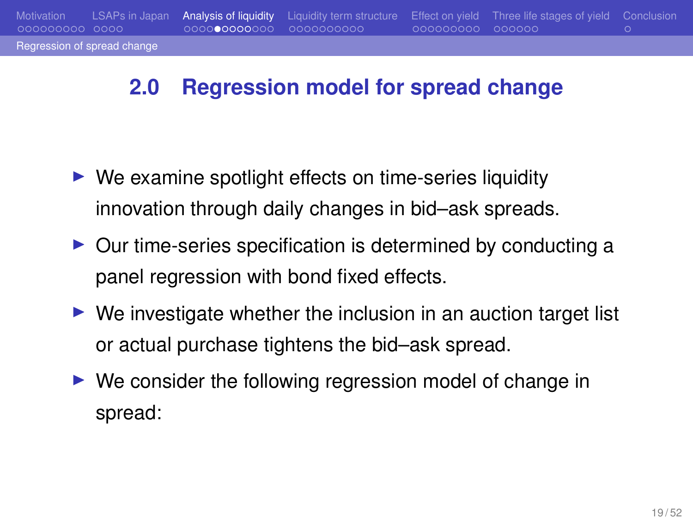#### **2.0 Regression model for spread change**

- ▶ We examine spotlight effects on time-series liquidity innovation through daily changes in bid–ask spreads.
- ▶ Our time-series specification is determined by conducting a panel regression with bond fixed effects.
- $\triangleright$  We investigate whether the inclusion in an auction target list or actual purchase tightens the bid–ask spread.
- ▶ We consider the following regression model of change in spread: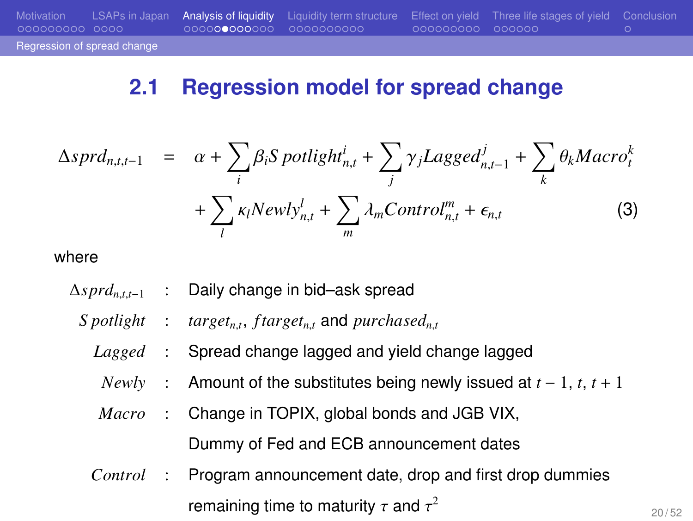#### Regression of spread cha

## Motivation LSAPs in Japan Analysis of liquidity Liquidity term structure Effect on yield Three life stages of yield Conclusion

#### **2.1 Regression model for spread change**

$$
\Delta sprd_{n,t,t-1} = \alpha + \sum_{i} \beta_{i} Spotlight_{n,t}^{i} + \sum_{j} \gamma_{j} Lagger_{n,t-1}^{j} + \sum_{k} \theta_{k} Macro_{t}^{k}
$$

$$
+ \sum_{l} \kappa_{l} Newly_{n,t}^{l} + \sum_{m} \lambda_{m} Control_{n,t}^{m} + \epsilon_{n,t}
$$
(3)

where

- ∆*sprdn*,*t*,*t*−<sup>1</sup> : Daily change in bid–ask spread *S potlight* : , *f targetn*,*<sup>t</sup>* and *purchasedn*,*<sup>t</sup>*
	- *Lagged* : Spread change lagged and yield change lagged
	- *Newly* : Amount of the substitutes being newly issued at *t* − 1, *t*, *t* + 1
	- *Macro* : Change in TOPIX, global bonds and JGB VIX,
		- Dummy of Fed and ECB announcement dates
	- *Control* : Program announcement date, drop and first drop dummies remaining time to maturity  $\tau$  and  $\tau^2$

20 / 52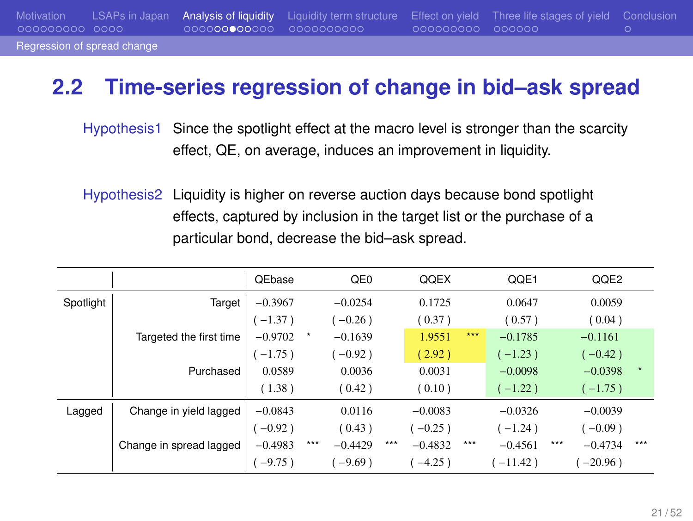#### **2.2 Time-series regression of change in bid–ask spread**

Hypothesis1 Since the spotlight effect at the macro level is stronger than the scarcity effect, QE, on average, induces an improvement in liquidity.

Hypothesis2 Liquidity is higher on reverse auction days because bond spotlight effects, captured by inclusion in the target list or the purchase of a particular bond, decrease the bid–ask spread.

|           |                         | QEbase    |       | QE <sub>0</sub> |     | QQEX      |         | QQE1       |       | QQE2       |     |
|-----------|-------------------------|-----------|-------|-----------------|-----|-----------|---------|------------|-------|------------|-----|
| Spotlight | Target                  | $-0.3967$ |       | $-0.0254$       |     | 0.1725    |         | 0.0647     |       | 0.0059     |     |
|           |                         | $-1.37$ ) |       | $(-0.26)$       |     | (0.37)    |         | (0.57)     |       | (0.04)     |     |
|           | Targeted the first time | $-0.9702$ |       | $-0.1639$       |     | 1.9551    | ***     | $-0.1785$  |       | $-0.1161$  |     |
|           |                         | $-1.75$ ) |       | $(-0.92)$       |     | (2.92)    |         | $(-1.23)$  |       | $(-0.42)$  |     |
|           | Purchased               | 0.0589    |       | 0.0036          |     | 0.0031    |         | $-0.0098$  |       | $-0.0398$  |     |
|           |                         | (1.38)    |       | (0.42)          |     | (0.10)    |         | $-1.22$ )  |       | $(-1.75)$  |     |
| Lagged    | Change in yield lagged  | $-0.0843$ |       | 0.0116          |     | $-0.0083$ |         | $-0.0326$  |       | $-0.0039$  |     |
|           |                         | $-0.92$ ) |       | (0.43)          |     | $(-0.25)$ |         | $-1.24$ )  |       | $(-0.09)$  |     |
|           | Change in spread lagged | $-0.4983$ | $***$ | $-0.4429$       | *** | $-0.4832$ | $* * *$ | $-0.4561$  | $***$ | $-0.4734$  | *** |
|           |                         | $-9.75$ ) |       | $(-9.69)$       |     | $-4.25$ ) |         | $-11.42$ ) |       | $-20.96$ ) |     |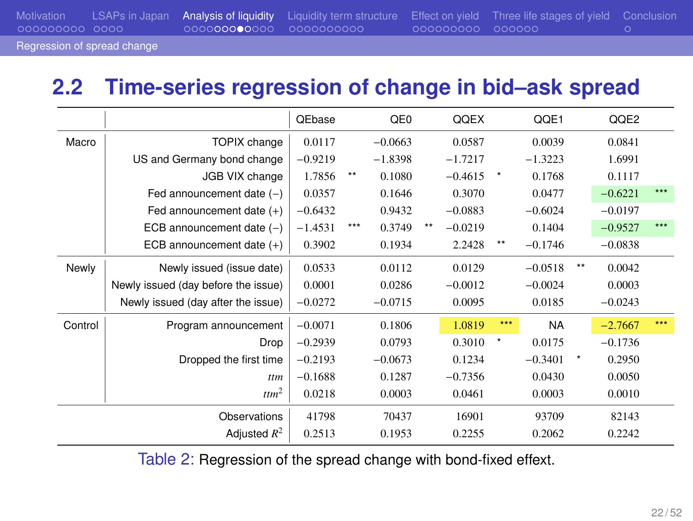## **2.2 Time-series regression of change in bid–ask spread**

|         |                                     | QEbase    |       | QE0       |      | QQEX      |              | QQE1      |              | QQE2      |       |
|---------|-------------------------------------|-----------|-------|-----------|------|-----------|--------------|-----------|--------------|-----------|-------|
| Macro   | TOPIX change                        | 0.0117    |       | $-0.0663$ |      | 0.0587    |              | 0.0039    |              | 0.0841    |       |
|         | US and Germany bond change          | $-0.9219$ |       | $-1.8398$ |      | $-1.7217$ |              | $-1.3223$ |              | 1.6991    |       |
|         | JGB VIX change                      | 1.7856    | $***$ | 0.1080    |      | $-0.4615$ | $\pmb{\ast}$ | 0.1768    |              | 0.1117    |       |
|         | Fed announcement date $(-)$         | 0.0357    |       | 0.1646    |      | 0.3070    |              | 0.0477    |              | $-0.6221$ | ***   |
|         | Fed announcement date $(+)$         | $-0.6432$ |       | 0.9432    |      | $-0.0883$ |              | $-0.6024$ |              | $-0.0197$ |       |
|         | ECB announcement date $(-)$         | $-1.4531$ | ***   | 0.3749    | $**$ | $-0.0219$ |              | 0.1404    |              | $-0.9527$ | $***$ |
|         | ECB announcement date $(+)$         | 0.3902    |       | 0.1934    |      | 2.2428    | $**$         | $-0.1746$ |              | $-0.0838$ |       |
| Newly   | Newly issued (issue date)           | 0.0533    |       | 0.0112    |      | 0.0129    |              | $-0.0518$ | $*$          | 0.0042    |       |
|         | Newly issued (day before the issue) | 0.0001    |       | 0.0286    |      | $-0.0012$ |              | $-0.0024$ |              | 0.0003    |       |
|         | Newly issued (day after the issue)  | $-0.0272$ |       | $-0.0715$ |      | 0.0095    |              | 0.0185    |              | $-0.0243$ |       |
| Control | Program announcement                | $-0.0071$ |       | 0.1806    |      | 1.0819    | ***          | <b>NA</b> |              | $-2.7667$ | ***   |
|         | Drop                                | $-0.2939$ |       | 0.0793    |      | 0.3010    | $\pmb{\ast}$ | 0.0175    |              | $-0.1736$ |       |
|         | Dropped the first time              | $-0.2193$ |       | $-0.0673$ |      | 0.1234    |              | $-0.3401$ | $\pmb{\ast}$ | 0.2950    |       |
|         | ttm                                 | $-0.1688$ |       | 0.1287    |      | $-0.7356$ |              | 0.0430    |              | 0.0050    |       |
|         | ttm <sup>2</sup>                    | 0.0218    |       | 0.0003    |      | 0.0461    |              | 0.0003    |              | 0.0010    |       |
|         | Observations                        | 41798     |       | 70437     |      | 16901     |              | 93709     |              | 82143     |       |
|         | Adjusted $R^2$                      | 0.2513    |       | 0.1953    |      | 0.2255    |              | 0.2062    |              | 0.2242    |       |

Table 2: Regression of the spread change with bond-fixed effext.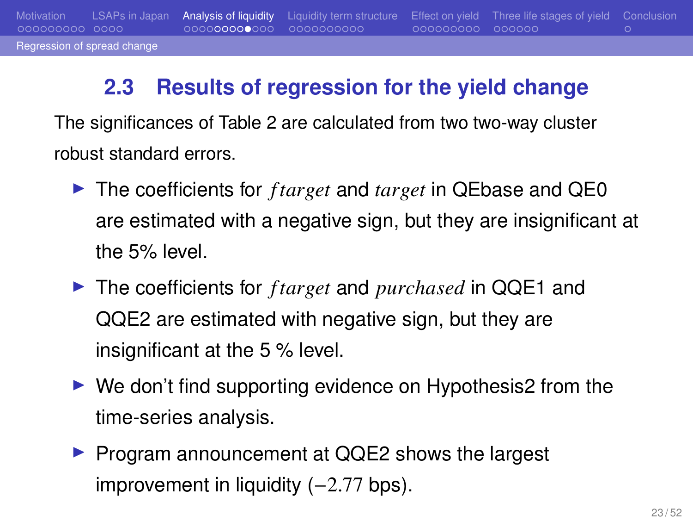## Regression of spread ch

Motivation LSAPs in Japan Analysis of liquidity Liquidity term structure Effect on yield Three life stages of yield Conclusion

#### **2.3 Results of regression for the yield change**

The significances of Table 2 are calculated from two two-way cluster robust standard errors.

- ▶ The coefficients for *f target* and *target* in QEbase and QE0 are estimated with a negative sign, but they are insignificant at the 5% level.
- ▶ The coefficients for *f target* and *purchased* in QQE1 and QQE2 are estimated with negative sign, but they are insignificant at the 5 % level.
- ▶ We don't find supporting evidence on Hypothesis2 from the time-series analysis.
- ▶ Program announcement at QQE2 shows the largest improvement in liquidity (−2.77 bps).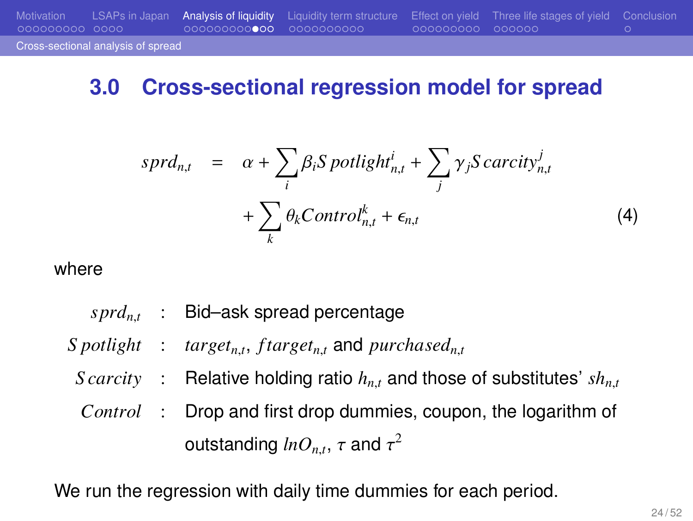#### **3.0 Cross-sectional regression model for spread**

$$
sprd_{n,t} = \alpha + \sum_{i} \beta_{i} S \, potlight_{n,t}^{i} + \sum_{j} \gamma_{j} S \, carcity_{n,t}^{j} + \sum_{k} \theta_{k} Control_{n,t}^{k} + \epsilon_{n,t}
$$
\n
$$
(4)
$$

where

Cross-sectional analysis of spread

*sprdn*,*<sup>t</sup>* : Bid–ask spread percentage

*S* potlight : target<sub>n,t</sub>, f target<sub>n,t</sub> and purchased<sub>n,t</sub>

- *S carcity* : Relative holding ratio  $h_{n,t}$  and those of substitutes'  $sh_{n,t}$
- *Control* : Drop and first drop dummies, coupon, the logarithm of outstanding  $lnO_{n,t},\,\tau$  and  $\tau^2$

We run the regression with daily time dummies for each period.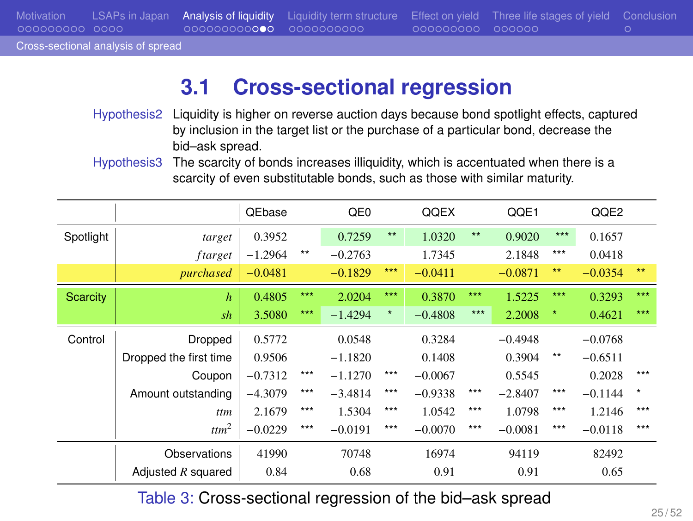## Motivation LSAPs in Japan Analysis of liquidity Liquidity term structure Effect on yield Three life stages of yield Conclusion Motivation LSAPs in Japan<br>000000000 0000<br>Cross-sectional analysis of spread

## **3.1 Cross-sectional regression**

| Hypothesis2 Liquidity is higher on reverse auction days because bond spotlight effects, captured |
|--------------------------------------------------------------------------------------------------|
| by inclusion in the target list or the purchase of a particular bond, decrease the               |
| bid-ask spread.                                                                                  |
| Hypothesis 3The scarcity of bonds increases illiquidity, which is accentuated when there is a    |
| scarcity of even substitutable bonds, such as those with similar maturity.                       |

|           |                        | QEbase    |              | QE <sub>0</sub> |              | QQEX      |       | QQE1      |              | QQE2      |            |
|-----------|------------------------|-----------|--------------|-----------------|--------------|-----------|-------|-----------|--------------|-----------|------------|
| Spotlight | target                 | 0.3952    |              | 0.7259          | $\star\star$ | 1.0320    | $***$ | 0.9020    | $***$        | 0.1657    |            |
|           | ftarget                | $-1.2964$ | $\star\star$ | $-0.2763$       |              | 1.7345    |       | 2.1848    | ***          | 0.0418    |            |
|           | purchased              | $-0.0481$ |              | $-0.1829$       | ***          | $-0.0411$ |       | $-0.0871$ | $\star\star$ | $-0.0354$ | $**$       |
| Scarcity  | $\boldsymbol{h}$       | 0.4805    | ***          | 2.0204          | ***          | 0.3870    | ***   | 1.5225    | ***          | 0.3293    | $***$      |
|           | sh                     | 3.5080    | ***          | $-1.4294$       | $\star$      | $-0.4808$ | $***$ | 2.2008    | $\star$      | 0.4621    | ***        |
| Control   | Dropped                | 0.5772    |              | 0.0548          |              | 0.3284    |       | $-0.4948$ |              | $-0.0768$ |            |
|           | Dropped the first time | 0.9506    |              | $-1.1820$       |              | 0.1408    |       | 0.3904    | $\star\star$ | $-0.6511$ |            |
|           | Coupon                 | $-0.7312$ | ***          | $-1.1270$       | ***          | $-0.0067$ |       | 0.5545    |              | 0.2028    | ***        |
|           | Amount outstanding     | $-4.3079$ | ***          | $-3.4814$       | ***          | $-0.9338$ | ***   | $-2.8407$ | ***          | $-0.1144$ | $_{\star}$ |
|           | ttm                    | 2.1679    | ***          | 1.5304          | ***          | 1.0542    | ***   | 1.0798    | ***          | 1.2146    | ***        |
|           | $t$ tm <sup>2</sup>    | $-0.0229$ | ***          | $-0.0191$       | ***          | $-0.0070$ | ***   | $-0.0081$ | ***          | $-0.0118$ | ***        |
|           | Observations           | 41990     |              | 70748           |              | 16974     |       | 94119     |              | 82492     |            |
|           | Adjusted $R$ squared   | 0.84      |              | 0.68            |              | 0.91      |       | 0.91      |              | 0.65      |            |

Table 3: Cross-sectional regression of the bid–ask spread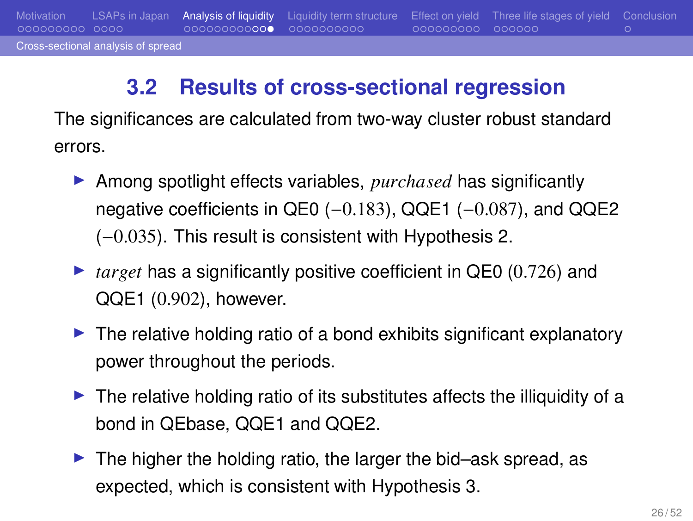## **3.2 Results of cross-sectional regression**

Motivation LSAPs in Japan Analysis of liquidity Liquidity term structure Effect on yield Three life stages of yield Conclusion

Cross-sectional analysis of spre

The significances are calculated from two-way cluster robust standard errors.

- ▶ Among spotlight effects variables, *purchased* has significantly negative coefficients in QE0 (-0.183), QQE1 (-0.087), and QQE2 (−0.035). This result is consistent with Hypothesis 2.
- ▶ *target* has a significantly positive coefficient in QE0 (0.726) and QQE1 (0.902), however.
- ▶ The relative holding ratio of a bond exhibits significant explanatory power throughout the periods.
- ▶ The relative holding ratio of its substitutes affects the illiquidity of a bond in QEbase, QQE1 and QQE2.
- ▶ The higher the holding ratio, the larger the bid–ask spread, as expected, which is consistent with Hypothesis 3.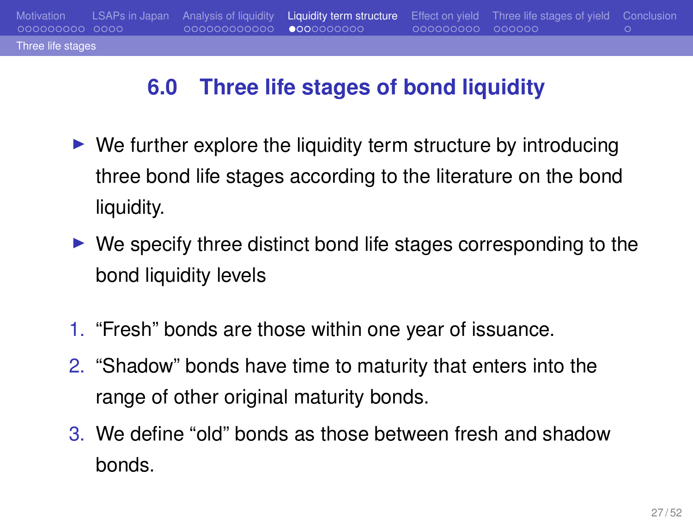# **6.0 Three life stages of bond liquidity**

Three life stages

Motivation LSAPs in Japan Analysis of liquidity Liquidity term structure Effect on yield Three life stages of yield Conclusion

- $\blacktriangleright$  We further explore the liquidity term structure by introducing three bond life stages according to the literature on the bond liquidity.
- ▶ We specify three distinct bond life stages corresponding to the bond liquidity levels
- 1. "Fresh" bonds are those within one year of issuance.
- 2. "Shadow" bonds have time to maturity that enters into the range of other original maturity bonds.
- 3. We define "old" bonds as those between fresh and shadow bonds.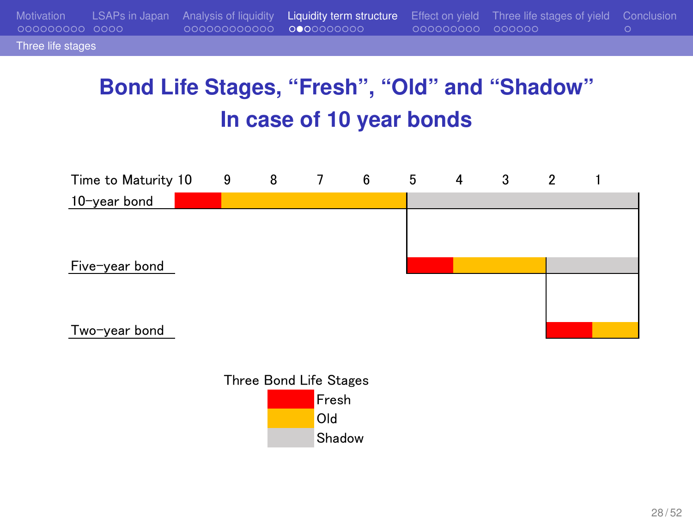## **Bond Life Stages, "Fresh", "Old" and "Shadow" In case of 10 year bonds**

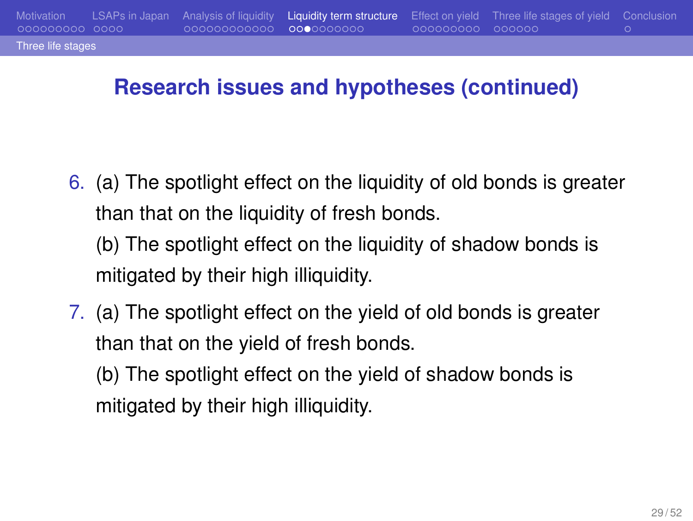#### **Research issues and hypotheses (continued)**

Motivation LSAPs in Japan Analysis of liquidity Liquidity term structure Effect on yield Three life stages of yield Conclusion

Three life stages

6. (a) The spotlight effect on the liquidity of old bonds is greater than that on the liquidity of fresh bonds.

(b) The spotlight effect on the liquidity of shadow bonds is mitigated by their high illiquidity.

7. (a) The spotlight effect on the yield of old bonds is greater than that on the yield of fresh bonds.

(b) The spotlight effect on the yield of shadow bonds is mitigated by their high illiquidity.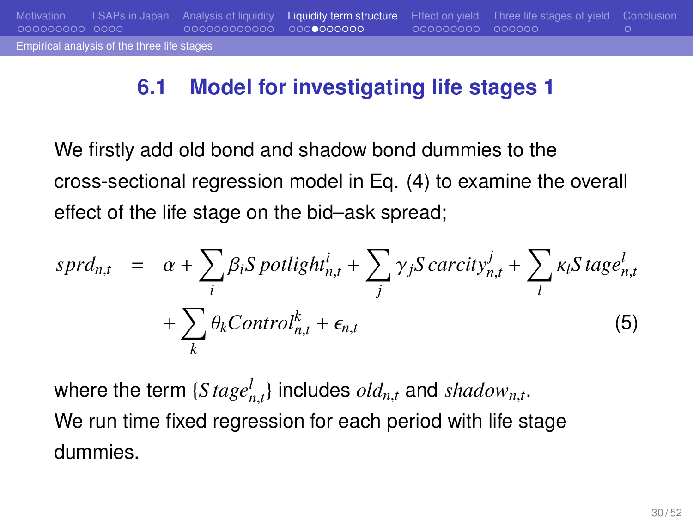## **6.1 Model for investigating life stages 1**

agggaggag

Motivation LSAPs in Japan Analysis of liquidity Liquidity term structure Effect on yield Three life stages of yield Conclusion

Empirical analysis of the three life stag

We firstly add old bond and shadow bond dummies to the cross-sectional regression model in Eq. (4) to examine the overall effect of the life stage on the bid–ask spread;

$$
sprd_{n,t} = \alpha + \sum_{i} \beta_{i} S \, potlight_{n,t}^{i} + \sum_{j} \gamma_{j} S \, carcity_{n,t}^{j} + \sum_{l} \kappa_{l} S \, tagel_{n,t} + \sum_{k} \theta_{k} Control_{n,t}^{k} + \epsilon_{n,t}
$$
\n
$$
(5)
$$

where the term  $\{Stage_{n,t}^l\}$  includes  $old_{n,t}$  and  $shadow_{n,t}.$ We run time fixed regression for each period with life stage dummies.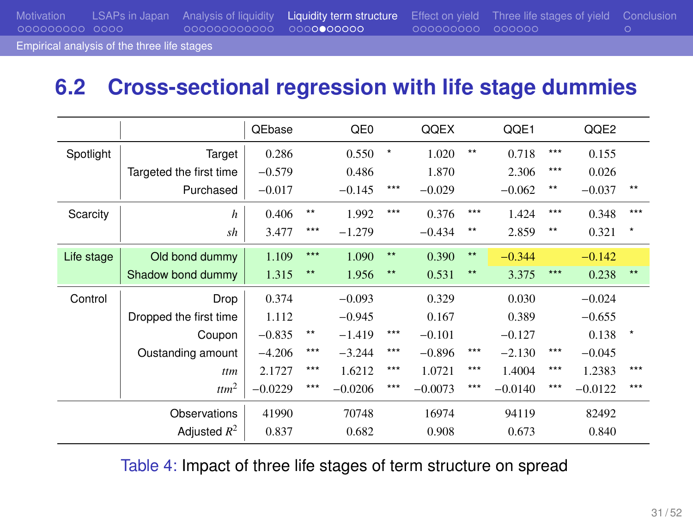Motivation LSAPs in Japan Analysis of liquidity Liquidity term structure Effect on yield Three life stages of yield Conclusion Empirical analysis of the three life stages

## **6.2 Cross-sectional regression with life stage dummies**

|            |                         | QEbase    |              | QE <sub>0</sub> |              | QQEX      |              | QQE1      |       | QQE2      |         |
|------------|-------------------------|-----------|--------------|-----------------|--------------|-----------|--------------|-----------|-------|-----------|---------|
| Spotlight  | Target                  | 0.286     |              | 0.550           | ×            | 1.020     | $***$        | 0.718     | ***   | 0.155     |         |
|            | Targeted the first time | $-0.579$  |              | 0.486           |              | 1.870     |              | 2.306     | ***   | 0.026     |         |
|            | Purchased               | $-0.017$  |              | $-0.145$        | ***          | $-0.029$  |              | $-0.062$  | $***$ | $-0.037$  | $**$    |
| Scarcity   | $\boldsymbol{h}$        | 0.406     | $\star\star$ | 1.992           | ***          | 0.376     | ***          | 1.424     | ***   | 0.348     | ***     |
|            | sh                      | 3.477     | ***          | $-1.279$        |              | $-0.434$  | $\star\star$ | 2.859     | $***$ | 0.321     | $\star$ |
| Life stage | Old bond dummy          | 1.109     | $***$        | 1.090           | $\star\star$ | 0.390     | $\star\star$ | $-0.344$  |       | $-0.142$  |         |
|            | Shadow bond dummy       | 1.315     | $***$        | 1.956           | $\star\star$ | 0.531     | $\star\star$ | 3.375     | ***   | 0.238     | $**$    |
| Control    | Drop                    | 0.374     |              | $-0.093$        |              | 0.329     |              | 0.030     |       | $-0.024$  |         |
|            | Dropped the first time  | 1.112     |              | $-0.945$        |              | 0.167     |              | 0.389     |       | $-0.655$  |         |
|            | Coupon                  | $-0.835$  | $\star\star$ | $-1.419$        | $***$        | $-0.101$  |              | $-0.127$  |       | 0.138     | $\star$ |
|            | Oustanding amount       | $-4.206$  | ***          | $-3.244$        | ***          | $-0.896$  | ***          | $-2.130$  | ***   | $-0.045$  |         |
|            | ttm                     | 2.1727    | ***          | 1.6212          | ***          | 1.0721    | ***          | 1.4004    | ***   | 1.2383    | ***     |
|            | $t$ ttm <sup>2</sup>    | $-0.0229$ | ***          | $-0.0206$       | ***          | $-0.0073$ | ***          | $-0.0140$ | ***   | $-0.0122$ | ***     |
|            | Observations            |           |              | 70748           |              | 16974     |              | 94119     |       | 82492     |         |
|            | Adjusted $R^2$          | 0.837     |              | 0.682           |              | 0.908     |              | 0.673     |       | 0.840     |         |

Table 4: Impact of three life stages of term structure on spread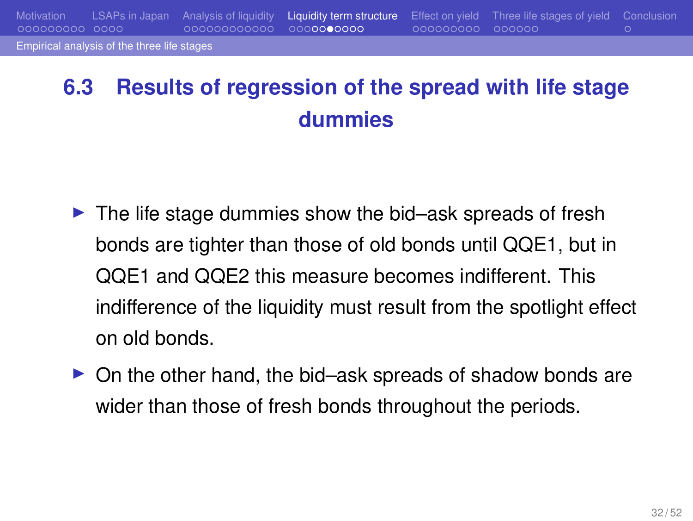## Liquidity term structure Effect on yield Three life stages of yield OOOOOOOO ical analysis of the three life stag

## **6.3 Results of regression of the spread with life stage dummies**

- ▶ The life stage dummies show the bid–ask spreads of fresh bonds are tighter than those of old bonds until QQE1, but in QQE1 and QQE2 this measure becomes indifferent. This indifference of the liquidity must result from the spotlight effect on old bonds.
- ▶ On the other hand, the bid–ask spreads of shadow bonds are wider than those of fresh bonds throughout the periods.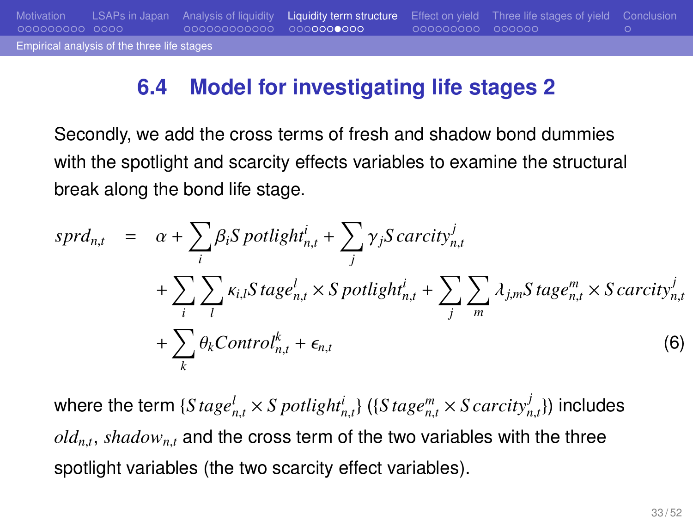#### **6.4 Model for investigating life stages 2**

Motivation LSAPs in Japan Analysis of liquidity Liquidity term structure Effect on yield Three life stages of yield Conclusion

Empirical analysis of the three life stage

Secondly, we add the cross terms of fresh and shadow bond dummies with the spotlight and scarcity effects variables to examine the structural break along the bond life stage.

$$
sprd_{n,t} = \alpha + \sum_{i} \beta_{i} S \, potlight_{n,t}^{i} + \sum_{j} \gamma_{j} S \, carcity_{n,t}^{j}
$$

$$
+ \sum_{i} \sum_{l} \kappa_{i,l} S \, tagel_{n,t} \times S \, potlight_{n,t}^{i} + \sum_{j} \sum_{m} \lambda_{j,m} S \, tagel_{n,t}^{m} \times S \, carcity_{n,t}^{j}
$$

$$
+ \sum_{k} \theta_{k} Control_{n,t}^{k} + \epsilon_{n,t}
$$
(6)

where the term  $\{Stage_{n,t}^l \times S\,pointightrightarrows\{ (S\,tag{e}^m_{n,t} \times S\,carcity^j_{n,t} \})$  includes *oldn*,*<sup>t</sup>* , *shadown*,*<sup>t</sup>* and the cross term of the two variables with the three spotlight variables (the two scarcity effect variables).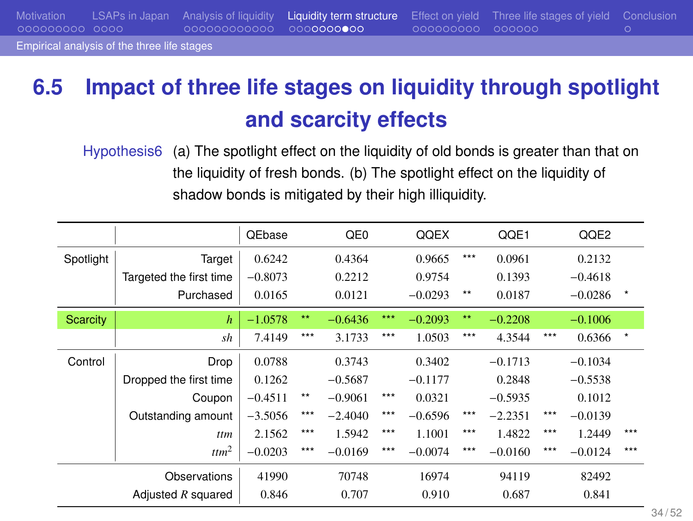Motivation LSAPs in Japan Analysis of liquidity Liquidity term structure Effect on yield Three life stages of yield Conclusion Empirical analysis of the three life stages

## **6.5 Impact of three life stages on liquidity through spotlight and scarcity effects**

Hypothesis6 (a) The spotlight effect on the liquidity of old bonds is greater than that on the liquidity of fresh bonds. (b) The spotlight effect on the liquidity of shadow bonds is mitigated by their high illiquidity.

|           |                         | QEbase    |              | QE0       |     | QQEX      |       | QQE1      |     | QQE2      |         |
|-----------|-------------------------|-----------|--------------|-----------|-----|-----------|-------|-----------|-----|-----------|---------|
| Spotlight | Target                  | 0.6242    |              | 0.4364    |     | 0.9665    | ***   | 0.0961    |     | 0.2132    |         |
|           | Targeted the first time | $-0.8073$ |              | 0.2212    |     | 0.9754    |       | 0.1393    |     | $-0.4618$ |         |
|           | Purchased               | 0.0165    |              | 0.0121    |     | $-0.0293$ | $***$ | 0.0187    |     | $-0.0286$ | $\star$ |
| Scarcity  | $\boldsymbol{h}$        | $-1.0578$ | $\star\star$ | $-0.6436$ | *** | $-0.2093$ | $**$  | $-0.2208$ |     | $-0.1006$ |         |
|           | sh                      | 7.4149    | ***          | 3.1733    | *** | 1.0503    | ***   | 4.3544    | *** | 0.6366    | $\star$ |
| Control   | Drop                    | 0.0788    |              | 0.3743    |     | 0.3402    |       | $-0.1713$ |     | $-0.1034$ |         |
|           | Dropped the first time  | 0.1262    |              | $-0.5687$ |     | $-0.1177$ |       | 0.2848    |     | $-0.5538$ |         |
|           | Coupon                  | $-0.4511$ | $\star\star$ | $-0.9061$ | *** | 0.0321    |       | $-0.5935$ |     | 0.1012    |         |
|           | Outstanding amount      | $-3.5056$ | ***          | $-2.4040$ | *** | $-0.6596$ | ***   | $-2.2351$ | *** | $-0.0139$ |         |
|           | ttm                     | 2.1562    | ***          | 1.5942    | *** | 1.1001    | ***   | 1.4822    | *** | 1.2449    | ***     |
|           | ttm <sup>2</sup>        | $-0.0203$ | ***          | $-0.0169$ | *** | $-0.0074$ | ***   | $-0.0160$ | *** | $-0.0124$ | ***     |
|           | Observations            | 41990     |              | 70748     |     | 16974     |       | 94119     |     | 82492     |         |
|           | Adjusted $R$ squared    | 0.846     |              | 0.707     |     | 0.910     |       | 0.687     |     | 0.841     |         |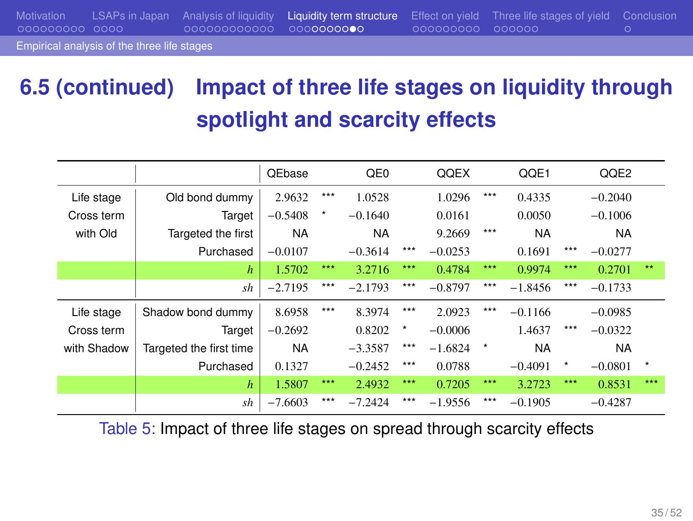Motivation LSAPs in Japan Analysis of liquidity Liquidity term structure Effect on yield Three life stages of yield Conclusion Empirical analysis of the three life stages

## **6.5 (continued) Impact of three life stages on liquidity through spotlight and scarcity effects**

|             |                         | <b>QEbase</b> |     | QE0       |         | QQEX      |         | QQE1      |            | QQE2      |     |
|-------------|-------------------------|---------------|-----|-----------|---------|-----------|---------|-----------|------------|-----------|-----|
| Life stage  | Old bond dummy          | 2.9632        | *** | 1.0528    |         | 1.0296    | ***     | 0.4335    |            | $-0.2040$ |     |
| Cross term  | Target                  | $-0.5408$     | ×   | $-0.1640$ |         | 0.0161    |         | 0.0050    |            | $-0.1006$ |     |
| with Old    | Targeted the first      | <b>NA</b>     |     | <b>NA</b> |         | 9.2669    | ***     | <b>NA</b> |            | <b>NA</b> |     |
|             | Purchased               | $-0.0107$     |     | $-0.3614$ | ***     | $-0.0253$ |         | 0.1691    | ***        | $-0.0277$ |     |
|             | $\boldsymbol{h}$        | 1.5702        | *** | 3.2716    | ***     | 0.4784    | ***     | 0.9974    | ***        | 0.2701    | **  |
|             | sh                      | $-2.7195$     | *** | $-2.1793$ | ***     | $-0.8797$ | ***     | $-1.8456$ | ***        | $-0.1733$ |     |
| Life stage  | Shadow bond dummy       | 8.6958        | *** | 8.3974    | ***     | 2.0923    | ***     | $-0.1166$ |            | $-0.0985$ |     |
| Cross term  | Target                  | $-0.2692$     |     | 0.8202    | $\star$ | $-0.0006$ |         | 1.4637    | ***        | $-0.0322$ |     |
| with Shadow | Targeted the first time | <b>NA</b>     |     | $-3.3587$ | ***     | $-1.6824$ | $\star$ | <b>NA</b> |            | <b>NA</b> |     |
|             | Purchased               | 0.1327        |     | $-0.2452$ | ***     | 0.0788    |         | $-0.4091$ | $^{\star}$ | $-0.0801$ | *   |
|             | $\boldsymbol{h}$        | 1.5807        | *** | 2.4932    | ***     | 0.7205    | ***     | 3.2723    | ***        | 0.8531    | *** |
|             | sh                      | $-7.6603$     | *** | $-7.2424$ | ***     | $-1.9556$ | ***     | $-0.1905$ |            | $-0.4287$ |     |

Table 5: Impact of three life stages on spread through scarcity effects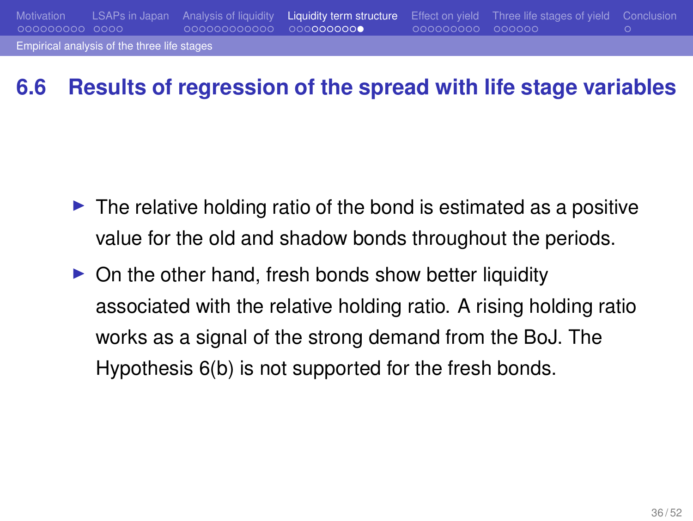## Motivation LSAPs in Japan Analysis of liquidity Liquidity term structure Effect on yield Three life stages of yield Conclusion Empirical analysis of the three life stag

## **6.6 Results of regression of the spread with life stage variables**

- $\blacktriangleright$  The relative holding ratio of the bond is estimated as a positive value for the old and shadow bonds throughout the periods.
- $\triangleright$  On the other hand, fresh bonds show better liquidity associated with the relative holding ratio. A rising holding ratio works as a signal of the strong demand from the BoJ. The Hypothesis 6(b) is not supported for the fresh bonds.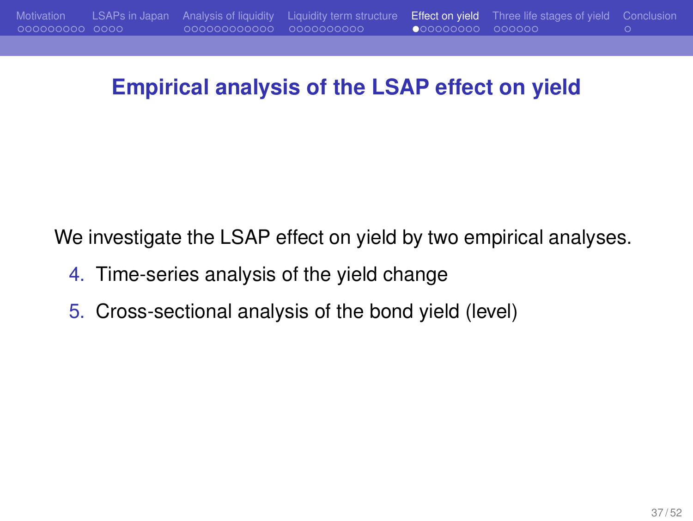#### **Empirical analysis of the LSAP effect on yield**

We investigate the LSAP effect on yield by two empirical analyses.

- 4. Time-series analysis of the yield change
- 5. Cross-sectional analysis of the bond yield (level)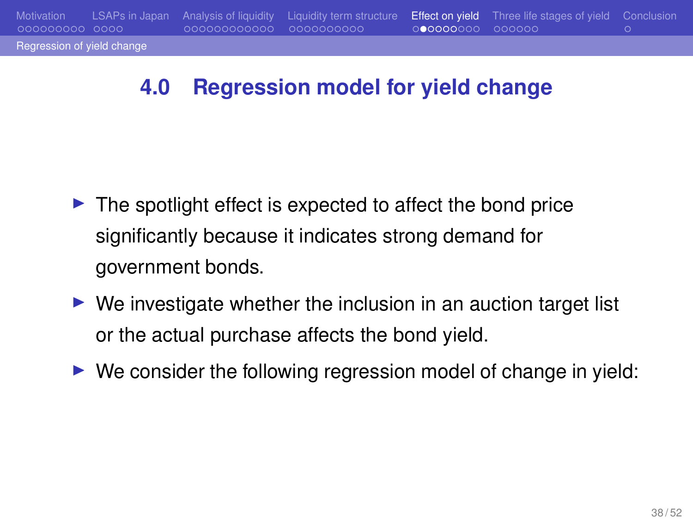## **4.0 Regression model for yield change**

- ▶ The spotlight effect is expected to affect the bond price significantly because it indicates strong demand for government bonds.
- $\blacktriangleright$  We investigate whether the inclusion in an auction target list or the actual purchase affects the bond yield.
- ▶ We consider the following regression model of change in yield: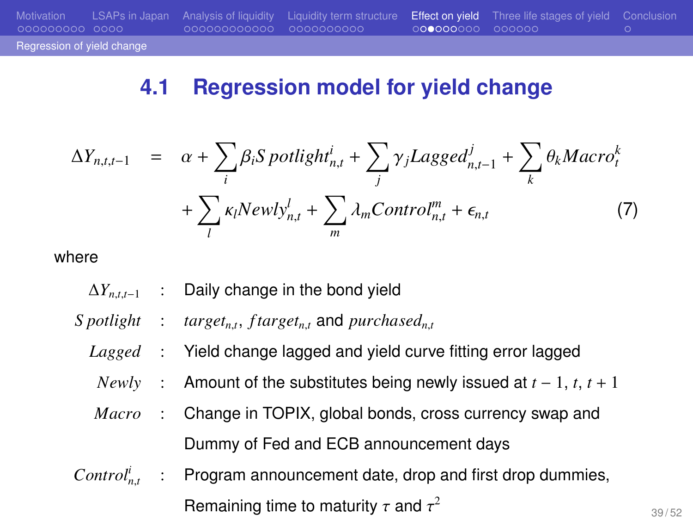#### **4.1 Regression model for yield change**

$$
\Delta Y_{n,t,t-1} = \alpha + \sum_{i} \beta_{i} S \, \text{potlight}_{n,t}^{i} + \sum_{j} \gamma_{j} Lagger_{n,t-1}^{j} + \sum_{k} \theta_{k} \text{Macro}_{t}^{k}
$$
\n
$$
+ \sum_{l} \kappa_{l} \text{Newly}_{n,t}^{l} + \sum_{m} \lambda_{m} \text{Control}_{n,t}^{m} + \epsilon_{n,t} \tag{7}
$$

where

Regression of yield change

- ∆*Yn*,*t*,*t*−<sup>1</sup> : Daily change in the bond yield
- *S* potlight :  $target_{n,t}$ ,  $ftarget_{n,t}$  and  $purchased_{n,t}$
- *Lagged* : Yield change lagged and yield curve fitting error lagged
- *Newly* : Amount of the substitutes being newly issued at *t* − 1, *t*, *t* + 1
- *Macro* : Change in TOPIX, global bonds, cross currency swap and Dummy of Fed and ECB announcement days
- *Control<sup>i</sup> n*,*t* : Program announcement date, drop and first drop dummies, Remaining time to maturity  $\tau$  and  $\tau^2$

39 / 52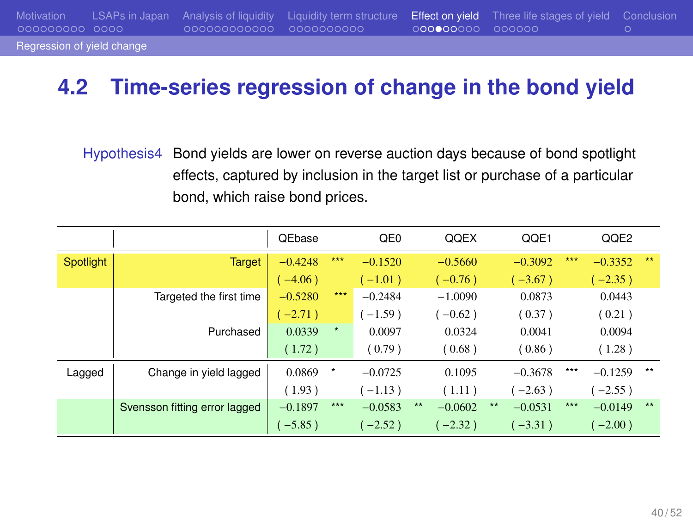Regression of yield change

Motivation LSAPs in Japan Analysis of liquidity Liquidity term structure Effect on yield Three life stages of yield Conclusion

## **4.2 Time-series regression of change in the bond yield**

Hypothesis4 Bond yields are lower on reverse auction days because of bond spotlight effects, captured by inclusion in the target list or purchase of a particular bond, which raise bond prices.

|           |                               | QEbase    |         | QE <sub>0</sub> | QQEX               |              | QQE1      |       | QQE2      |              |
|-----------|-------------------------------|-----------|---------|-----------------|--------------------|--------------|-----------|-------|-----------|--------------|
| Spotlight | <b>Target</b>                 | $-0.4248$ | ***     | $-0.1520$       | $-0.5660$          |              | $-0.3092$ | ***   | $-0.3352$ | $***$        |
|           |                               | $-4.06$ ) |         | $-1.01$ )       | $(-0.76)$          |              | $-3.67$ ) |       | $-2.35$ ) |              |
|           | Targeted the first time       | $-0.5280$ | $***$   | $-0.2484$       | $-1.0090$          |              | 0.0873    |       | 0.0443    |              |
|           |                               | $-2.71)$  |         | $(-1.59)$       | $-0.62$ )          |              | (0.37)    |       | (0.21)    |              |
|           | Purchased                     | 0.0339    | $\star$ | 0.0097          | 0.0324             |              | 0.0041    |       | 0.0094    |              |
|           |                               | (1.72)    |         | (0.79)          | (0.68)             |              | (0.86)    |       | (1.28)    |              |
| Lagged    | Change in yield lagged        | 0.0869    | $\ast$  | $-0.0725$       | 0.1095             |              | $-0.3678$ | ***   | $-0.1259$ | $***$        |
|           |                               | (1.93)    |         | $(-1.13)$       | (1.11)             |              | $-2.63$ ) |       | $(-2.55)$ |              |
|           | Svensson fitting error lagged | $-0.1897$ | ***     | $-0.0583$       | $***$<br>$-0.0602$ | $\star\star$ | $-0.0531$ | $***$ | $-0.0149$ | $\star\star$ |
|           |                               | $-5.85$ ) |         | $(-2.52)$       | $-2.32$ )          |              | $(-3.31)$ |       | $(-2.00)$ |              |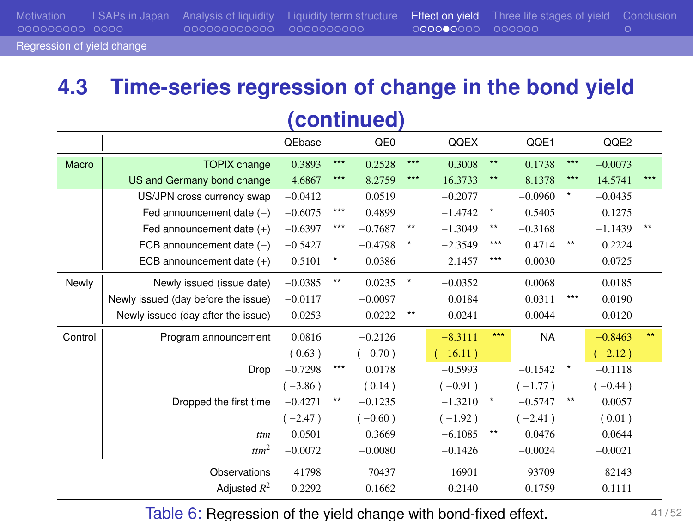| 000000000 0000 -           | 0000000000000 00000000000 | 000000000 000000 | Motivation LSAPs in Japan Analysis of liquidity Liquidity term structure Effect on yield Three life stages of yield Conclusion |  |
|----------------------------|---------------------------|------------------|--------------------------------------------------------------------------------------------------------------------------------|--|
| Regression of yield change |                           |                  |                                                                                                                                |  |

## **4.3 Time-series regression of change in the bond yield**

| (continued) |                                     |           |                 |                 |                 |            |              |           |                 |           |     |  |
|-------------|-------------------------------------|-----------|-----------------|-----------------|-----------------|------------|--------------|-----------|-----------------|-----------|-----|--|
|             |                                     | QEbase    |                 | QE <sub>0</sub> |                 | QQEX       |              | QQE1      |                 | QQE2      |     |  |
| Macro       | <b>TOPIX</b> change                 | 0.3893    | ***             | 0.2528          | $***$           | 0.3008     | $\star\star$ | 0.1738    | $***$           | $-0.0073$ |     |  |
|             | US and Germany bond change          | 4.6867    | ***             | 8.2759          | $***$           | 16.3733    | $**$         | 8.1378    | $***$           | 14.5741   | *** |  |
|             | US/JPN cross currency swap          | $-0.0412$ |                 | 0.0519          |                 | $-0.2077$  |              | $-0.0960$ | ۰               | $-0.0435$ |     |  |
|             | Fed announcement date $(-)$         | $-0.6075$ | $***$           | 0.4899          |                 | $-1.4742$  |              | 0.5405    |                 | 0.1275    |     |  |
|             | Fed announcement date (+)           | $-0.6397$ | ***             | $-0.7687$       | $^{\star\star}$ | $-1.3049$  | $\star\star$ | $-0.3168$ |                 | $-1.1439$ |     |  |
|             | ECB announcement date $(-)$         | $-0.5427$ |                 | $-0.4798$       |                 | $-2.3549$  | ***          | 0.4714    | $^{\star\star}$ | 0.2224    |     |  |
|             | ECB announcement date (+)           | 0.5101    |                 | 0.0386          |                 | 2.1457     | $***$        | 0.0030    |                 | 0.0725    |     |  |
| Newly       | Newly issued (issue date)           | $-0.0385$ | $^{\star\star}$ | 0.0235          | $^\star$        | $-0.0352$  |              | 0.0068    |                 | 0.0185    |     |  |
|             | Newly issued (day before the issue) | $-0.0117$ |                 | $-0.0097$       |                 | 0.0184     |              | 0.0311    | ***             | 0.0190    |     |  |
|             | Newly issued (day after the issue)  | $-0.0253$ |                 | 0.0222          | $^{\star\star}$ | $-0.0241$  |              | $-0.0044$ |                 | 0.0120    |     |  |
| Control     | Program announcement                | 0.0816    |                 | $-0.2126$       |                 | $-8.3111$  | ***          | <b>NA</b> |                 | $-0.8463$ | **  |  |
|             |                                     | (0.63)    |                 | $(-0.70)$       |                 | $(-16.11)$ |              |           |                 | $(-2.12)$ |     |  |
|             | Drop                                | $-0.7298$ | ***             | 0.0178          |                 | $-0.5993$  |              | $-0.1542$ | $^\star$        | $-0.1118$ |     |  |
|             |                                     | $(-3.86)$ |                 | (0.14)          |                 | $(-0.91)$  |              | $(-1.77)$ |                 | $(-0.44)$ |     |  |
|             | Dropped the first time              | $-0.4271$ | **              | $-0.1235$       |                 | $-1.3210$  | $\;$ $\;$    | $-0.5747$ | $^{\star\star}$ | 0.0057    |     |  |
|             |                                     | $(-2.47)$ |                 | $(-0.60)$       |                 | $(-1.92)$  |              | $(-2.41)$ |                 | (0.01)    |     |  |
|             | ttm                                 | 0.0501    |                 | 0.3669          |                 | $-6.1085$  | $\star\star$ | 0.0476    |                 | 0.0644    |     |  |
|             | $~t$ tm <sup>2</sup>                | $-0.0072$ |                 | $-0.0080$       |                 | $-0.1426$  |              | $-0.0024$ |                 | $-0.0021$ |     |  |
|             | Observations                        | 41798     |                 | 70437           |                 | 16901      |              | 93709     |                 | 82143     |     |  |
|             | Adjusted $R^2$                      | 0.2292    |                 | 0.1662          |                 | 0.2140     |              | 0.1759    |                 | 0.1111    |     |  |

Table 6: Regression of the yield change with bond-fixed effext.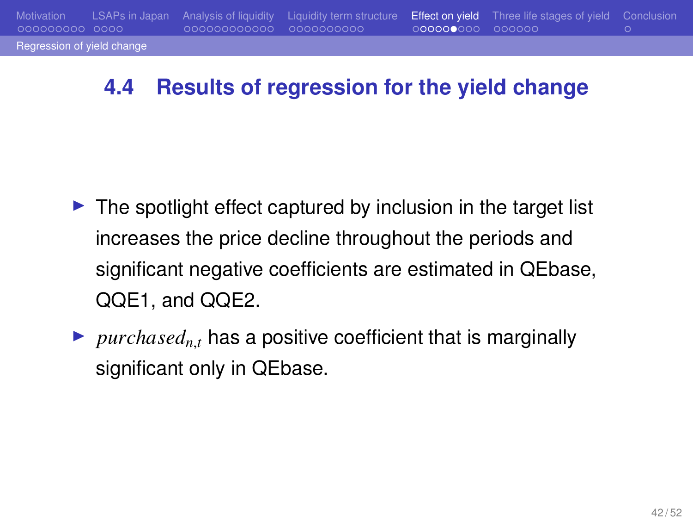#### **4.4 Results of regression for the yield change**

Regression of yield cha

ooc

- ▶ The spotlight effect captured by inclusion in the target list increases the price decline throughout the periods and significant negative coefficients are estimated in QEbase, QQE1, and QQE2.
- $\blacktriangleright$  *purchased<sub>n,t</sub>* has a positive coefficient that is marginally significant only in QEbase.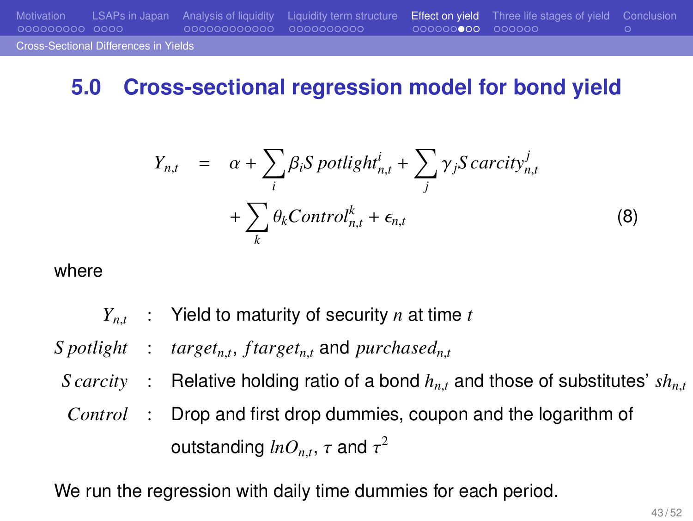#### **5.0 Cross-sectional regression model for bond yield**

$$
Y_{n,t} = \alpha + \sum_{i} \beta_{i} S \, \text{potlight}_{n,t}^{i} + \sum_{j} \gamma_{j} S \, \text{carcity}_{n,t}^{j}
$$
\n
$$
+ \sum_{k} \theta_{k} \text{Control}_{n,t}^{k} + \epsilon_{n,t} \tag{8}
$$

where

Cross-Sectional Differences in Yields

*Yn*,*<sup>t</sup>* : Yield to maturity of security *n* at time *t* S potlight : target<sub>n,t</sub>, f target<sub>n,t</sub> and purchased<sub>n,t</sub> *S carcity* : Relative holding ratio of a bond  $h_{n,t}$  and those of substitutes'  $sh_{n,t}$ *Control* : Drop and first drop dummies, coupon and the logarithm of outstanding  $lnO_{n,t},\,\tau$  and  $\tau^2$ 

We run the regression with daily time dummies for each period.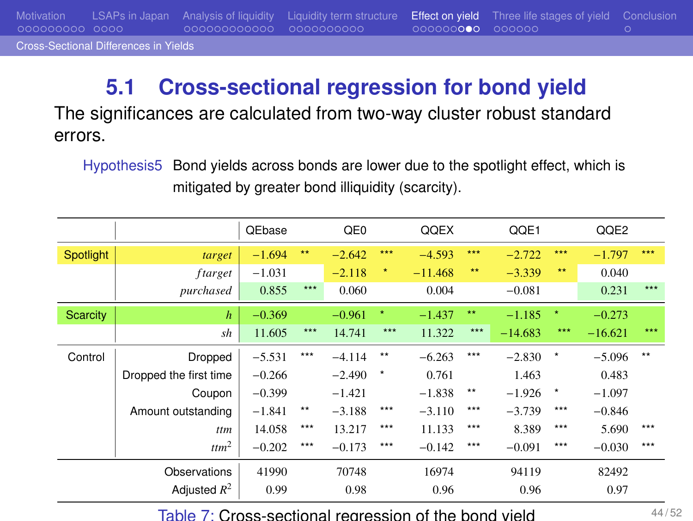Motivation LSAPs in Japan Analysis of liquidity Liquidity term structure Effect on yield Three life stages of yield Conclusion Cross-Sectional Differences in Yields

## **5.1 Cross-sectional regression for bond yield**

The significances are calculated from two-way cluster robust standard errors.

Hypothesis5 Bond yields across bonds are lower due to the spotlight effect, which is mitigated by greater bond illiquidity (scarcity).

|           |                        | QEbase   |              | QE <sub>0</sub> |            | QQEX      |              | QQE1      |            | QQE2      |       |
|-----------|------------------------|----------|--------------|-----------------|------------|-----------|--------------|-----------|------------|-----------|-------|
| Spotlight | target                 | $-1.694$ | $**$         | $-2.642$        | ***        | $-4.593$  | ***          | $-2.722$  | ***        | $-1.797$  | ***   |
|           | ftarget                | $-1.031$ |              | $-2.118$        | $\star$    | $-11.468$ | **           | $-3.339$  | **         | 0.040     |       |
|           | purchased              | 0.855    | $***$        | 0.060           |            | 0.004     |              | $-0.081$  |            | 0.231     | $***$ |
| Scarcity  | $\boldsymbol{h}$       | $-0.369$ |              | $-0.961$        | $\star$    | $-1.437$  | $\star\star$ | $-1.185$  | $\star$    | $-0.273$  |       |
|           | sh                     | 11.605   | $***$        | 14.741          | $***$      | 11.322    | ***          | $-14.683$ | ***        | $-16.621$ | ***   |
| Control   | Dropped                | $-5.531$ | $***$        | $-4.114$        | $***$      | $-6.263$  | ***          | $-2.830$  | $_{\star}$ | $-5.096$  | $**$  |
|           | Dropped the first time | $-0.266$ |              | $-2.490$        | $^{\star}$ | 0.761     |              | 1.463     |            | 0.483     |       |
|           | Coupon                 | $-0.399$ |              | $-1.421$        |            | $-1.838$  | $\star\star$ | $-1.926$  | *          | $-1.097$  |       |
|           | Amount outstanding     | $-1.841$ | $\star\star$ | $-3.188$        | ***        | $-3.110$  | ***          | $-3.739$  | ***        | $-0.846$  |       |
|           | ttm                    | 14.058   | $***$        | 13.217          | $***$      | 11.133    | ***          | 8.389     | ***        | 5.690     | ***   |
|           | ttm <sup>2</sup>       | $-0.202$ | ***          | $-0.173$        | ***        | $-0.142$  | ***          | $-0.091$  | ***        | $-0.030$  | ***   |
|           | Observations           | 41990    |              | 70748           |            | 16974     |              | 94119     |            | 82492     |       |
|           | Adjusted $R^2$         | 0.99     |              | 0.98            |            | 0.96      |              | 0.96      |            | 0.97      |       |

Table 7: Cross-sectional regression of the bond yield  $44/52$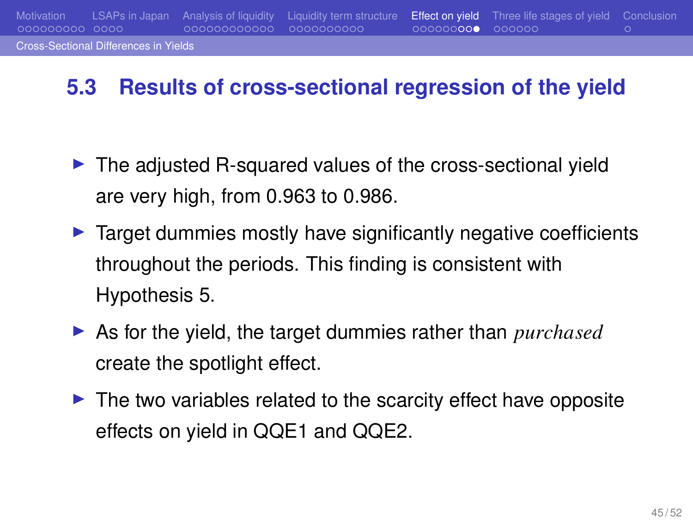#### **5.3 Results of cross-sectional regression of the yield**

s in Yield

000000000

- ▶ The adjusted R-squared values of the cross-sectional yield are very high, from 0.963 to 0.986.
- ▶ Target dummies mostly have significantly negative coefficients throughout the periods. This finding is consistent with Hypothesis 5.
- ▶ As for the yield, the target dummies rather than *purchased* create the spotlight effect.
- ▶ The two variables related to the scarcity effect have opposite effects on yield in QQE1 and QQE2.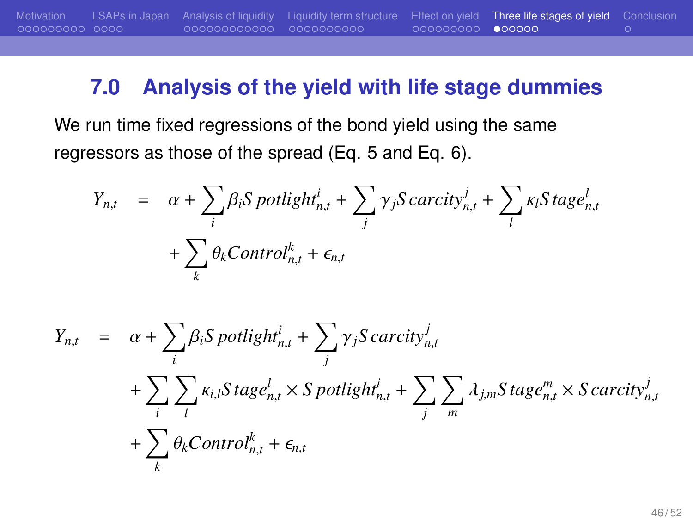#### **7.0 Analysis of the yield with life stage dummies**

We run time fixed regressions of the bond yield using the same regressors as those of the spread (Eq. 5 and Eq. 6).

$$
Y_{n,t} = \alpha + \sum_{i} \beta_i S \, \text{potlight}_{n,t}^i + \sum_{j} \gamma_j S \, \text{carcity}_{n,t}^j + \sum_{l} \kappa_l S \, \text{tag} e_{n,t}^l
$$

$$
+ \sum_{k} \theta_k \text{Control}_{n,t}^k + \epsilon_{n,t}
$$

$$
Y_{n,t} = \alpha + \sum_{i} \beta_i S \, \text{potlight}_{n,t}^i + \sum_{j} \gamma_j S \, \text{carcity}_{n,t}^j
$$
  
+ 
$$
\sum_{i} \sum_{l} \kappa_{i,l} S \, \text{tag} e_{n,t}^l \times S \, \text{potlight}_{n,t}^i + \sum_{j} \sum_{m} \lambda_{j,m} S \, \text{tag} e_{n,t}^m \times S \, \text{carcity}_{n,t}^j
$$
  
+ 
$$
\sum_{k} \theta_k \text{Control}_{n,t}^k + \epsilon_{n,t}
$$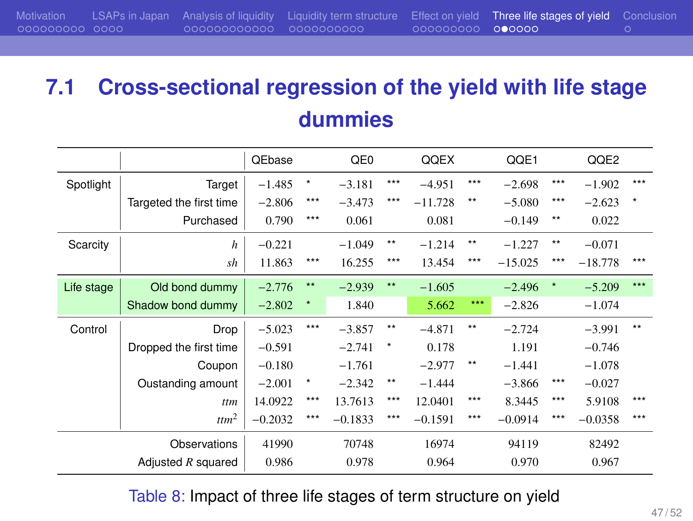## **7.1 Cross-sectional regression of the yield with life stage dummies**

|            |                         | <b>QEbase</b> |              | QE0       |              | QQEX      |              | QQE1      |         | QQE2      |       |
|------------|-------------------------|---------------|--------------|-----------|--------------|-----------|--------------|-----------|---------|-----------|-------|
| Spotlight  | Target                  | $-1.485$      | ×            | $-3.181$  | ***          | $-4.951$  | ***          | $-2.698$  | ***     | $-1.902$  | ***   |
|            | Targeted the first time | $-2.806$      | $***$        | $-3.473$  | ***          | $-11.728$ | $\star\star$ | $-5.080$  | ***     | $-2.623$  | ×     |
|            | Purchased               | 0.790         | ***          | 0.061     |              | 0.081     |              | $-0.149$  | $***$   | 0.022     |       |
| Scarcity   | $\boldsymbol{h}$        | $-0.221$      |              | $-1.049$  | $\star\star$ | $-1.214$  | $\star\star$ | $-1.227$  | $***$   | $-0.071$  |       |
|            | sh                      | 11.863        | ***          | 16.255    | ***          | 13.454    | ***          | $-15.025$ | ***     | $-18.778$ | ***   |
| Life stage | Old bond dummy          | $-2.776$      | $\star\star$ | $-2.939$  | $\star\star$ | $-1.605$  |              | $-2.496$  | $\star$ | $-5.209$  | $***$ |
|            | Shadow bond dummy       | $-2.802$      | ۸            | 1.840     |              | 5.662     | ***          | $-2.826$  |         | $-1.074$  |       |
| Control    | Drop                    | $-5.023$      | $***$        | $-3.857$  | $\star\star$ | $-4.871$  | $***$        | $-2.724$  |         | $-3.991$  | $**$  |
|            | Dropped the first time  | $-0.591$      |              | $-2.741$  | ×            | 0.178     |              | 1.191     |         | $-0.746$  |       |
|            | Coupon                  | $-0.180$      |              | $-1.761$  |              | $-2.977$  | $***$        | $-1.441$  |         | $-1.078$  |       |
|            | Oustanding amount       | $-2.001$      | $^{\star}$   | $-2.342$  | $\star\star$ | $-1.444$  |              | $-3.866$  | $***$   | $-0.027$  |       |
|            | ttm                     | 14.0922       | ***          | 13.7613   | ***          | 12.0401   | ***          | 8.3445    | ***     | 5.9108    | ***   |
|            | $t$ ttm <sup>2</sup>    | $-0.2032$     | ***          | $-0.1833$ | ***          | $-0.1591$ | ***          | $-0.0914$ | ***     | $-0.0358$ | ***   |
|            | Observations            | 41990         |              | 70748     |              | 16974     |              | 94119     |         | 82492     |       |
|            | Adjusted $R$ squared    | 0.986         |              | 0.978     |              | 0.964     |              | 0.970     |         | 0.967     |       |

Table 8: Impact of three life stages of term structure on yield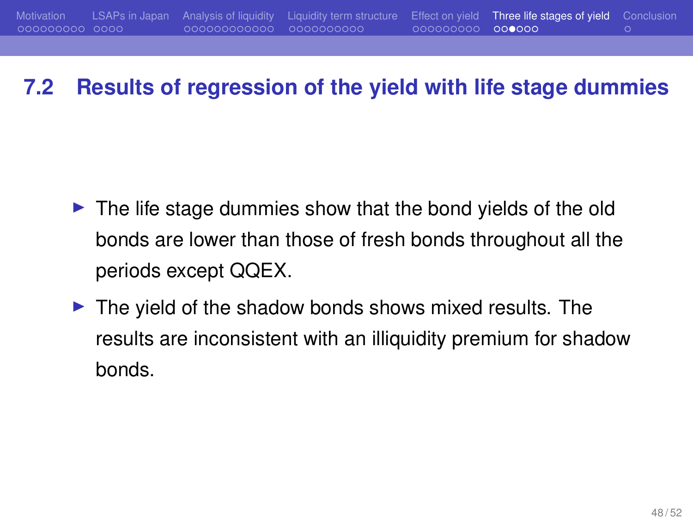#### **7.2 Results of regression of the yield with life stage dummies**

- ▶ The life stage dummies show that the bond yields of the old bonds are lower than those of fresh bonds throughout all the periods except QQEX.
- ▶ The yield of the shadow bonds shows mixed results. The results are inconsistent with an illiquidity premium for shadow bonds.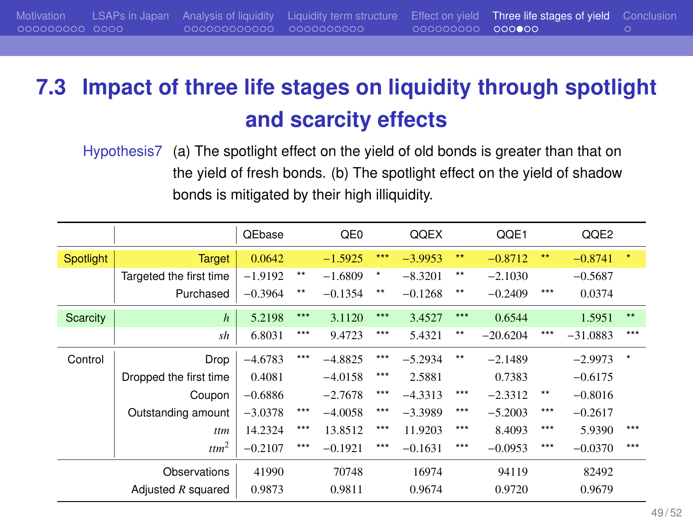## **7.3 Impact of three life stages on liquidity through spotlight and scarcity effects**

Hypothesis7 (a) The spotlight effect on the yield of old bonds is greater than that on the yield of fresh bonds. (b) The spotlight effect on the yield of shadow bonds is mitigated by their high illiquidity.

|           |                         | QEbase    |                 | QE <sub>0</sub> |       | QQEX      |              | QQE1       |              | QQE2       |              |
|-----------|-------------------------|-----------|-----------------|-----------------|-------|-----------|--------------|------------|--------------|------------|--------------|
| Spotlight | <b>Target</b>           | 0.0642    |                 | $-1.5925$       | ***   | $-3.9953$ | 大大           | $-0.8712$  | $\star\star$ | $-0.8741$  | $\star$      |
|           | Targeted the first time | $-1.9192$ | $^{\star\star}$ | $-1.6809$       | ٠     | $-8.3201$ | $\star\star$ | $-2.1030$  |              | $-0.5687$  |              |
|           | Purchased               | $-0.3964$ | $***$           | $-0.1354$       | $***$ | $-0.1268$ | $\star\star$ | $-0.2409$  | ***          | 0.0374     |              |
| Scarcity  | $\boldsymbol{h}$        | 5.2198    | ***             | 3.1120          | ***   | 3.4527    | ***          | 0.6544     |              | 1.5951     | $\star\star$ |
|           | sh                      | 6.8031    | ***             | 9.4723          | ***   | 5.4321    | $***$        | $-20.6204$ | $***$        | $-31.0883$ | $***$        |
| Control   | Drop                    | $-4.6783$ | ***             | $-4.8825$       | ***   | $-5.2934$ | $\star\star$ | $-2.1489$  |              | $-2.9973$  | $\star$      |
|           | Dropped the first time  | 0.4081    |                 | $-4.0158$       | $***$ | 2.5881    |              | 0.7383     |              | $-0.6175$  |              |
|           | Coupon                  | $-0.6886$ |                 | $-2.7678$       | $***$ | $-4.3313$ | $***$        | $-2.3312$  | $***$        | $-0.8016$  |              |
|           | Outstanding amount      | $-3.0378$ | ***             | $-4.0058$       | ***   | $-3.3989$ | $***$        | $-5.2003$  | ***          | $-0.2617$  |              |
|           | ttm                     | 14.2324   | ***             | 13.8512         | ***   | 11.9203   | ***          | 8.4093     | ***          | 5.9390     | ***          |
|           | ttm <sup>2</sup>        | $-0.2107$ | ***             | $-0.1921$       | ***   | $-0.1631$ | ***          | $-0.0953$  | ***          | $-0.0370$  | $***$        |
|           | Observations            | 41990     |                 | 70748           |       | 16974     |              | 94119      |              | 82492      |              |
|           | Adjusted $R$ squared    | 0.9873    |                 | 0.9811          |       | 0.9674    |              | 0.9720     |              | 0.9679     |              |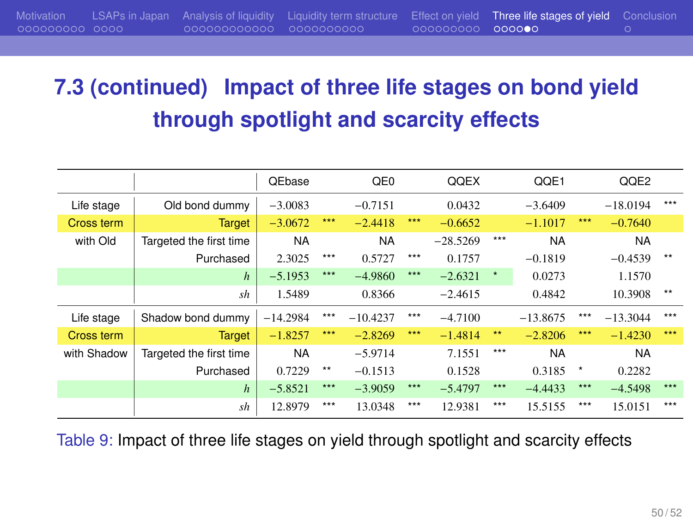## **7.3 (continued) Impact of three life stages on bond yield through spotlight and scarcity effects**

|             |                         | <b>QEbase</b> |      | QE <sub>0</sub> |       | QQEX       |         | QQE1       |         | QQE2       |       |
|-------------|-------------------------|---------------|------|-----------------|-------|------------|---------|------------|---------|------------|-------|
| Life stage  | Old bond dummy          | $-3.0083$     |      | $-0.7151$       |       | 0.0432     |         | $-3.6409$  |         | $-18.0194$ | $***$ |
| Cross term  | <b>Target</b>           | $-3.0672$     | ***  | $-2.4418$       | ***   | $-0.6652$  |         | $-1.1017$  | ***     | $-0.7640$  |       |
| with Old    | Targeted the first time | <b>NA</b>     |      | <b>NA</b>       |       | $-28.5269$ | $***$   | <b>NA</b>  |         | <b>NA</b>  |       |
|             | Purchased               | 2.3025        | ***  | 0.5727          | $***$ | 0.1757     |         | $-0.1819$  |         | $-0.4539$  | $***$ |
|             | $\boldsymbol{h}$        | $-5.1953$     | ***  | $-4.9860$       | ***   | $-2.6321$  | $\star$ | 0.0273     |         | 1.1570     |       |
|             | sh                      | 1.5489        |      | 0.8366          |       | $-2.4615$  |         | 0.4842     |         | 10.3908    | $**$  |
| Life stage  | Shadow bond dummy       | $-14.2984$    | ***  | $-10.4237$      | $***$ | $-4.7100$  |         | $-13.8675$ | $***$   | $-13.3044$ | $***$ |
| Cross term  | <b>Target</b>           | $-1.8257$     | ***  | $-2.8269$       | ***   | $-1.4814$  | **      | $-2.8206$  | ***     | $-1.4230$  | ***   |
| with Shadow | Targeted the first time | <b>NA</b>     |      | $-5.9714$       |       | 7.1551     | ***     | <b>NA</b>  |         | <b>NA</b>  |       |
|             | Purchased               | 0.7229        | $**$ | $-0.1513$       |       | 0.1528     |         | 0.3185     | $\star$ | 0.2282     |       |
|             | $\boldsymbol{h}$        | $-5.8521$     | ***  | $-3.9059$       | ***   | $-5.4797$  | $***$   | $-4.4433$  | $***$   | $-4.5498$  | ***   |
|             | sh                      | 12.8979       | ***  | 13.0348         | ***   | 12.9381    | ***     | 15.5155    | $***$   | 15.0151    | $***$ |

Table 9: Impact of three life stages on yield through spotlight and scarcity effects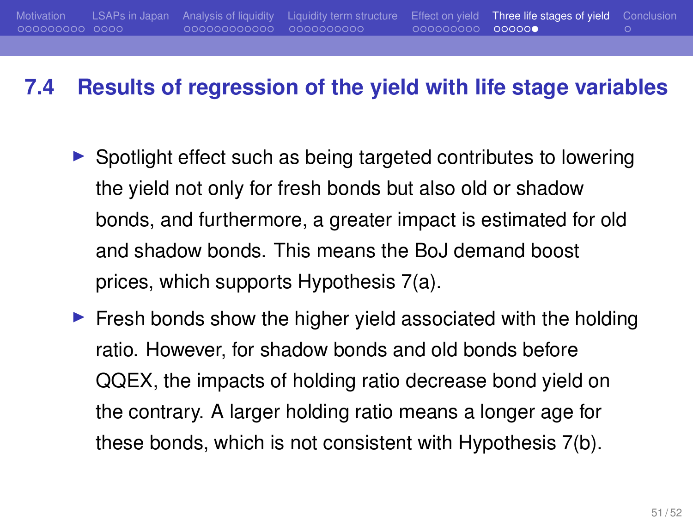#### **7.4 Results of regression of the yield with life stage variables**

- ▶ Spotlight effect such as being targeted contributes to lowering the yield not only for fresh bonds but also old or shadow bonds, and furthermore, a greater impact is estimated for old and shadow bonds. This means the BoJ demand boost prices, which supports Hypothesis 7(a).
- $\blacktriangleright$  Fresh bonds show the higher yield associated with the holding ratio. However, for shadow bonds and old bonds before QQEX, the impacts of holding ratio decrease bond yield on the contrary. A larger holding ratio means a longer age for these bonds, which is not consistent with Hypothesis 7(b).